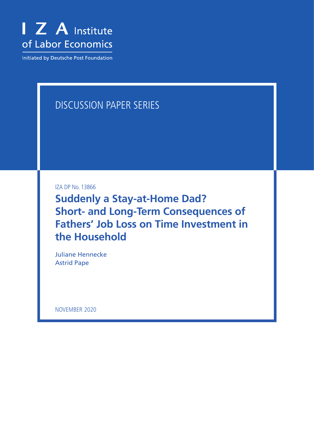

**Initiated by Deutsche Post Foundation** 

# DISCUSSION PAPER SERIES

IZA DP No. 13866

**Suddenly a Stay-at-Home Dad? Short- and Long-Term Consequences of Fathers' Job Loss on Time Investment in the Household**

Juliane Hennecke Astrid Pape

NOVEMBER 2020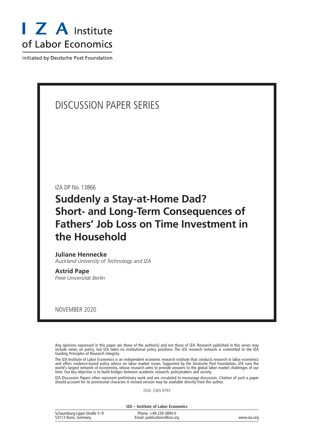

Initiated by Deutsche Post Foundation

## DISCUSSION PAPER SERIES

IZA DP No. 13866

## **Suddenly a Stay-at-Home Dad? Short- and Long-Term Consequences of Fathers' Job Loss on Time Investment in the Household**

## **Juliane Hennecke**

*Auckland University of Technology and IZA*

**Astrid Pape** *Freie Universität Berlin*

NOVEMBER 2020

Any opinions expressed in this paper are those of the author(s) and not those of IZA. Research published in this series may include views on policy, but IZA takes no institutional policy positions. The IZA research network is committed to the IZA Guiding Principles of Research Integrity.

The IZA Institute of Labor Economics is an independent economic research institute that conducts research in labor economics and offers evidence-based policy advice on labor market issues. Supported by the Deutsche Post Foundation, IZA runs the world's largest network of economists, whose research aims to provide answers to the global labor market challenges of our time. Our key objective is to build bridges between academic research, policymakers and society.

IZA Discussion Papers often represent preliminary work and are circulated to encourage discussion. Citation of such a paper should account for its provisional character. A revised version may be available directly from the author.

ISSN: 2365-9793

**IZA – Institute of Labor Economics**

| Schaumburg-Lippe-Straße 5-9 | Phone: +49-228-3894-0       |             |
|-----------------------------|-----------------------------|-------------|
| 53113 Bonn, Germany         | Email: publications@iza.org | www.iza.org |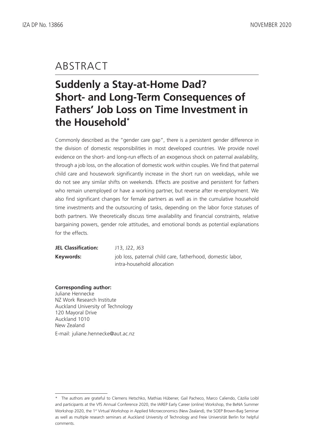## ABSTRACT

# **Suddenly a Stay-at-Home Dad? Short- and Long-Term Consequences of Fathers' Job Loss on Time Investment in the Household\***

Commonly described as the "gender care gap", there is a persistent gender difference in the division of domestic responsibilities in most developed countries. We provide novel evidence on the short- and long-run effects of an exogenous shock on paternal availability, through a job loss, on the allocation of domestic work within couples. We find that paternal child care and housework significantly increase in the short run on weekdays, while we do not see any similar shifts on weekends. Effects are positive and persistent for fathers who remain unemployed or have a working partner, but reverse after re-employment. We also find significant changes for female partners as well as in the cumulative household time investments and the outsourcing of tasks, depending on the labor force statuses of both partners. We theoretically discuss time availability and financial constraints, relative bargaining powers, gender role attitudes, and emotional bonds as potential explanations for the effects.

| <b>JEL Classification:</b> | J13, J22, J63                                              |
|----------------------------|------------------------------------------------------------|
| Keywords:                  | job loss, paternal child care, fatherhood, domestic labor, |
|                            | intra-household allocation                                 |

### **Corresponding author:**

Juliane Hennecke NZ Work Research Institute Auckland University of Technology 120 Mayoral Drive Auckland 1010 New Zealand

E-mail: juliane.hennecke@aut.ac.nz

<sup>\*</sup> The authors are grateful to Clemens Hetschko, Mathias Hübener, Gail Pacheco, Marco Caliendo, Cäzilia Loibl and participants at the VfS Annual Conference 2020, the IAREP Early Career (online) Workshop, the BeNA Summer Workshop 2020, the 1st Virtual Workshop in Applied Microeconomics (New Zealand), the SOEP Brown-Bag Seminar as well as multiple research seminars at Auckland University of Technology and Freie Universität Berlin for helpful comments.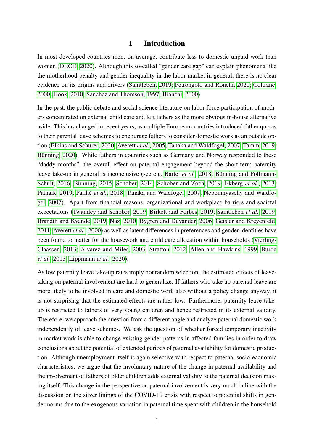### 1 Introduction

In most developed countries men, on average, contribute less to domestic unpaid work than women [\(OECD, 2020\)](#page-33-0). Although this so-called "gender care gap" can explain phenomena like the motherhood penalty and gender inequality in the labor market in general, there is no clear evidence on its origins and drivers [\(Samtleben, 2019;](#page-33-1) [Petrongolo and Ronchi, 2020;](#page-33-2) [Coltrane,](#page-31-0) [2000;](#page-31-0) [Hook, 2010;](#page-32-0) [Sanchez and Thomson, 1997;](#page-33-3) [Bianchi, 2000\)](#page-30-0).

In the past, the public debate and social science literature on labor force participation of mothers concentrated on external child care and left fathers as the more obvious in-house alternative aside. This has changed in recent years, as multiple European countries introduced father quotas to their parental leave schemes to encourage fathers to consider domestic work as an outside option [\(Elkins and Schurer, 2020;](#page-32-1) [Averett](#page-30-1) *et al.*, [2005;](#page-30-1) [Tanaka and Waldfogel, 2007;](#page-34-0) [Tamm, 2019;](#page-34-1) [Bünning, 2020\)](#page-31-1). While fathers in countries such as Germany and Norway responded to these "daddy months", the overall effect on paternal engagement beyond the short-term paternity leave take-up in general is inconclusive (see e.g. [Bartel](#page-30-2) *et al.*, [2018;](#page-30-2) [Bünning and Pollmann-](#page-31-2)[Schult, 2016;](#page-31-2) [Bünning, 2015;](#page-31-3) [Schober, 2014;](#page-34-2) [Schober and Zoch, 2019;](#page-34-3) [Ekberg](#page-31-4) *et al.*, [2013;](#page-31-4) [Patnaik, 2019;](#page-33-4) [Pailhé](#page-33-5) *et al.*, [2018;](#page-33-5) [Tanaka and Waldfogel, 2007;](#page-34-0) [Nepomnyaschy and Waldfo](#page-33-6)[gel, 2007\)](#page-33-6). Apart from financial reasons, organizational and workplace barriers and societal expectations [\(Twamley and Schober, 2019;](#page-34-4) [Birkett and Forbes, 2019;](#page-30-3) [Samtleben](#page-33-7) *et al.*, [2019;](#page-33-7) [Brandth and Kvande, 2019;](#page-30-4) [Naz, 2010;](#page-33-8) [Bygren and Duvander, 2006;](#page-31-5) [Geisler and Kreyenfeld,](#page-32-2) [2011;](#page-32-2) [Averett](#page-30-5) *et al.*, [2000\)](#page-30-5) as well as latent differences in preferences and gender identities have been found to matter for the housework and child care allocation within households [\(Vierling-](#page-34-5)[Claassen, 2013;](#page-34-5) [Álvarez and Miles, 2003;](#page-30-6) [Stratton, 2012;](#page-34-6) [Allen and Hawkins, 1999;](#page-30-7) [Burda](#page-31-6) *[et al.](#page-31-6)*, [2013;](#page-31-6) [Lippmann](#page-32-3) *et al.*, [2020\)](#page-32-3).

As low paternity leave take-up rates imply nonrandom selection, the estimated effects of leavetaking on paternal involvement are hard to generalize. If fathers who take up parental leave are more likely to be involved in care and domestic work also without a policy change anyway, it is not surprising that the estimated effects are rather low. Furthermore, paternity leave takeup is restricted to fathers of very young children and hence restricted in its external validity. Therefore, we approach the question from a different angle and analyze paternal domestic work independently of leave schemes. We ask the question of whether forced temporary inactivity in market work is able to change existing gender patterns in affected families in order to draw conclusions about the potential of extended periods of paternal availability for domestic production. Although unemployment itself is again selective with respect to paternal socio-economic characteristics, we argue that the involuntary nature of the change in paternal availability and the involvement of fathers of older children adds external validity to the paternal decision making itself. This change in the perspective on paternal involvement is very much in line with the discussion on the silver linings of the COVID-19 crisis with respect to potential shifts in gender norms due to the exogenous variation in paternal time spent with children in the household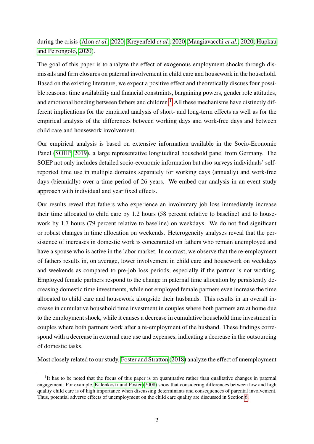during the crisis [\(Alon](#page-30-8) *et al.*, [2020;](#page-30-8) [Kreyenfeld](#page-32-4) *et al.*, [2020;](#page-32-4) [Mangiavacchi](#page-33-9) *et al.*, [2020;](#page-33-9) [Hupkau](#page-32-5) [and Petrongolo, 2020\)](#page-32-5).

The goal of this paper is to analyze the effect of exogenous employment shocks through dismissals and firm closures on paternal involvement in child care and housework in the household. Based on the existing literature, we expect a positive effect and theoretically discuss four possible reasons: time availability and financial constraints, bargaining powers, gender role attitudes, and emotional bonding between fathers and children.<sup>[1](#page-4-0)</sup> All these mechanisms have distinctly different implications for the empirical analysis of short- and long-term effects as well as for the empirical analysis of the differences between working days and work-free days and between child care and housework involvement.

Our empirical analysis is based on extensive information available in the Socio-Economic Panel [\(SOEP, 2019\)](#page-34-7), a large representative longitudinal household panel from Germany. The SOEP not only includes detailed socio-economic information but also surveys individuals' selfreported time use in multiple domains separately for working days (annually) and work-free days (biennially) over a time period of 26 years. We embed our analysis in an event study approach with individual and year fixed effects.

Our results reveal that fathers who experience an involuntary job loss immediately increase their time allocated to child care by 1.2 hours (58 percent relative to baseline) and to housework by 1.7 hours (79 percent relative to baseline) on weekdays. We do not find significant or robust changes in time allocation on weekends. Heterogeneity analyses reveal that the persistence of increases in domestic work is concentrated on fathers who remain unemployed and have a spouse who is active in the labor market. In contrast, we observe that the re-employment of fathers results in, on average, lower involvement in child care and housework on weekdays and weekends as compared to pre-job loss periods, especially if the partner is not working. Employed female partners respond to the change in paternal time allocation by persistently decreasing domestic time investments, while not employed female partners even increase the time allocated to child care and housework alongside their husbands. This results in an overall increase in cumulative household time investment in couples where both partners are at home due to the employment shock, while it causes a decrease in cumulative household time investment in couples where both partners work after a re-employment of the husband. These findings correspond with a decrease in external care use and expenses, indicating a decrease in the outsourcing of domestic tasks.

Most closely related to our study, [Foster and Stratton](#page-32-6) [\(2018\)](#page-32-6) analyze the effect of unemployment

<span id="page-4-0"></span><sup>&</sup>lt;sup>1</sup>It has to be noted that the focus of this paper is on quantitative rather than qualitative changes in paternal engagement. For example, [Kalenkoski and Foster](#page-32-7) [\(2008\)](#page-32-7) show that considering differences between low and high quality child care is of high importance when discussing determinants and consequences of parental involvement. Thus, potential adverse effects of unemployment on the child care quality are discussed in Section [6.](#page-26-0)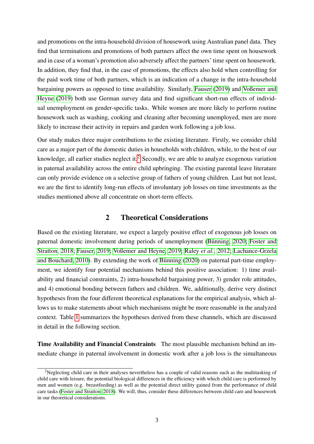and promotions on the intra-household division of housework using Australian panel data. They find that terminations and promotions of both partners affect the own time spent on housework and in case of a woman's promotion also adversely affect the partners' time spent on housework. In addition, they find that, in the case of promotions, the effects also hold when controlling for the paid work time of both partners, which is an indication of a change in the intra-household bargaining powers as opposed to time availability. Similarly, [Fauser](#page-32-8) [\(2019\)](#page-32-8) and [Voßemer and](#page-34-8) [Heyne](#page-34-8) [\(2019\)](#page-34-8) both use German survey data and find significant short-run effects of individual unemployment on gender-specific tasks. While women are more likely to perform routine housework such as washing, cooking and cleaning after becoming unemployed, men are more likely to increase their activity in repairs and garden work following a job loss.

Our study makes three major contributions to the existing literature. Firstly, we consider child care as a major part of the domestic duties in households with children, while, to the best of our knowledge, all earlier studies neglect it.<sup>[2](#page-5-0)</sup> Secondly, we are able to analyze exogenous variation in paternal availability across the entire child upbringing. The existing parental leave literature can only provide evidence on a selective group of fathers of young children. Last but not least, we are the first to identify long-run effects of involuntary job losses on time investments as the studies mentioned above all concentrate on short-term effects.

## 2 Theoretical Considerations

<span id="page-5-1"></span>Based on the existing literature, we expect a largely positive effect of exogenous job losses on paternal domestic involvement during periods of unemployment [\(Bünning, 2020;](#page-31-1) [Foster and](#page-32-6) [Stratton, 2018;](#page-32-6) [Fauser, 2019;](#page-32-8) [Voßemer and Heyne, 2019;](#page-34-8) [Raley](#page-33-10) *et al.*, [2012;](#page-33-10) [Lachance-Grzela](#page-32-9) [and Bouchard, 2010\)](#page-32-9). By extending the work of [Bünning](#page-31-1) [\(2020\)](#page-31-1) on paternal part-time employment, we identify four potential mechanisms behind this positive association: 1) time availability and financial constraints, 2) intra-household bargaining power, 3) gender role attitudes, and 4) emotional bonding between fathers and children. We, additionally, derive very distinct hypotheses from the four different theoretical explanations for the empirical analysis, which allows us to make statements about which mechanisms might be more reasonable in the analyzed context. Table [1](#page-6-0) summarizes the hypotheses derived from these channels, which are discussed in detail in the following section.

Time Availability and Financial Constraints The most plausible mechanism behind an immediate change in paternal involvement in domestic work after a job loss is the simultaneous

<span id="page-5-0"></span><sup>&</sup>lt;sup>2</sup>Neglecting child care in their analyses nevertheless has a couple of valid reasons such as the multitasking of child care with leisure, the potential biological differences in the efficiency with which child care is performed by men and women (e.g. breastfeeding) as well as the potential direct utility gained from the performance of child care tasks [\(Foster and Stratton, 2018\)](#page-32-6). We will, thus, consider these differences between child care and housework in our theoretical considerations.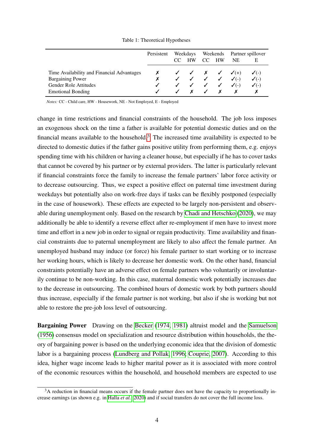<span id="page-6-0"></span>

|                                            | Persistent                                              | Weekdays |          | Weekends |  | Partner spillover                                                                                                                                                                                                                                                                                                                                                                                                                                                                                |                           |
|--------------------------------------------|---------------------------------------------------------|----------|----------|----------|--|--------------------------------------------------------------------------------------------------------------------------------------------------------------------------------------------------------------------------------------------------------------------------------------------------------------------------------------------------------------------------------------------------------------------------------------------------------------------------------------------------|---------------------------|
|                                            |                                                         |          | HW CC HW |          |  | <b>NE</b>                                                                                                                                                                                                                                                                                                                                                                                                                                                                                        | Ε                         |
| Time Availability and Financial Advantages | $\boldsymbol{\mathsf{x}}$ and $\boldsymbol{\mathsf{x}}$ |          |          |          |  | $\checkmark$ $\checkmark$ $\checkmark$ $\checkmark$ $\checkmark$ $\checkmark$ $\checkmark$ $\checkmark$ $\checkmark$ $\checkmark$ $\checkmark$ $\checkmark$ $\checkmark$ $\checkmark$ $\checkmark$ $\checkmark$ $\checkmark$ $\checkmark$ $\checkmark$ $\checkmark$ $\checkmark$ $\checkmark$ $\checkmark$ $\checkmark$ $\checkmark$ $\checkmark$ $\checkmark$ $\checkmark$ $\checkmark$ $\checkmark$ $\checkmark$ $\checkmark$ $\checkmark$ $\checkmark$ $\checkmark$ $\checkmark$ $\checkmark$ |                           |
| <b>Bargaining Power</b>                    | $\boldsymbol{x}$ and $\boldsymbol{x}$                   |          |          |          |  | $\checkmark$ $\checkmark$ $\checkmark$ $\checkmark$ $\checkmark$ $\checkmark$ $\checkmark$ $\checkmark$ $\checkmark$                                                                                                                                                                                                                                                                                                                                                                             | $\checkmark$ (-)          |
| <b>Gender Role Attitudes</b>               |                                                         |          |          |          |  | $\checkmark$ $\checkmark$ $\checkmark$ $\checkmark$ $\checkmark$ $\checkmark$ $\checkmark$ $\checkmark$ $\checkmark$ $\checkmark$ $\checkmark$ $\checkmark$ $\checkmark$                                                                                                                                                                                                                                                                                                                         |                           |
| <b>Emotional Bonding</b>                   |                                                         |          |          |          |  | $\sqrt{X}$ $\sqrt{X}$ $\sqrt{X}$                                                                                                                                                                                                                                                                                                                                                                                                                                                                 | $\boldsymbol{\mathsf{x}}$ |

Table 1: Theoretical Hypotheses

*Notes:* CC - Child care, HW - Housework, NE - Not Employed, E - Employed

change in time restrictions and financial constraints of the household. The job loss imposes an exogenous shock on the time a father is available for potential domestic duties and on the financial means available to the household.<sup>[3](#page-6-1)</sup> The increased time availability is expected to be directed to domestic duties if the father gains positive utility from performing them, e.g. enjoys spending time with his children or having a cleaner house, but especially if he has to cover tasks that cannot be covered by his partner or by external providers. The latter is particularly relevant if financial constraints force the family to increase the female partners' labor force activity or to decrease outsourcing. Thus, we expect a positive effect on paternal time investment during weekdays but potentially also on work-free days if tasks can be flexibly postponed (especially in the case of housework). These effects are expected to be largely non-persistent and observable during unemployment only. Based on the research by [Chadi and Hetschko](#page-31-7) [\(2020\)](#page-31-7), we may additionally be able to identify a reverse effect after re-employment if men have to invest more time and effort in a new job in order to signal or regain productivity. Time availability and financial constraints due to paternal unemployment are likely to also affect the female partner. An unemployed husband may induce (or force) his female partner to start working or to increase her working hours, which is likely to decrease her domestic work. On the other hand, financial constraints potentially have an adverse effect on female partners who voluntarily or involuntarily continue to be non-working. In this case, maternal domestic work potentially increases due to the decrease in outsourcing. The combined hours of domestic work by both partners should thus increase, especially if the female partner is not working, but also if she is working but not able to restore the pre-job loss level of outsourcing.

Bargaining Power Drawing on the [Becker](#page-30-9) [\(1974,](#page-30-9) [1981\)](#page-30-10) altruist model and the [Samuelson](#page-33-11) [\(1956\)](#page-33-11) consensus model on specialization and resource distribution within households, the theory of bargaining power is based on the underlying economic idea that the division of domestic labor is a bargaining process [\(Lundberg and Pollak, 1996;](#page-33-12) [Couprie, 2007\)](#page-31-8). According to this idea, higher wage income leads to higher marital power as it is associated with more control of the economic resources within the household, and household members are expected to use

<span id="page-6-1"></span><sup>&</sup>lt;sup>3</sup>A reduction in financial means occurs if the female partner does not have the capacity to proportionally increase earnings (as shown e.g. in [Halla](#page-32-10) *et al.*, [2020\)](#page-32-10) and if social transfers do not cover the full income loss.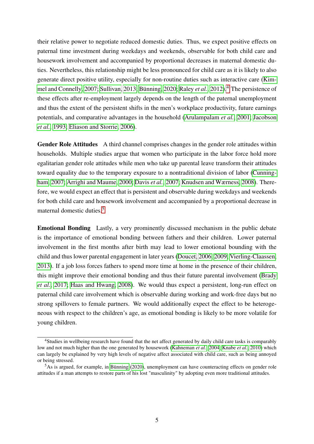their relative power to negotiate reduced domestic duties. Thus, we expect positive effects on paternal time investment during weekdays and weekends, observable for both child care and housework involvement and accompanied by proportional decreases in maternal domestic duties. Nevertheless, this relationship might be less pronounced for child care as it is likely to also generate direct positive utility, especially for non-routine duties such as interactive care [\(Kim](#page-32-11)[mel and Connelly, 2007;](#page-32-11) [Sullivan, 2013;](#page-34-9) [Bünning, 2020;](#page-31-1) [Raley](#page-33-10) *et al.*, [2012\)](#page-33-10).[4](#page-7-0) The persistence of these effects after re-employment largely depends on the length of the paternal unemployment and thus the extent of the persistent shifts in the men's workplace productivity, future earnings potentials, and comparative advantages in the household [\(Arulampalam](#page-30-11) *et al.*, [2001;](#page-30-11) [Jacobson](#page-32-12) *[et al.](#page-32-12)*, [1993;](#page-32-12) [Eliason and Storrie, 2006\)](#page-31-9).

Gender Role Attitudes A third channel comprises changes in the gender role attitudes within households. Multiple studies argue that women who participate in the labor force hold more egalitarian gender role attitudes while men who take up parental leave transform their attitudes toward equality due to the temporary exposure to a nontraditional division of labor [\(Cunning](#page-31-10)[ham, 2007;](#page-31-10) [Arrighi and Maume, 2000;](#page-30-12) [Davis](#page-31-11) *et al.*, [2007;](#page-31-11) [Knudsen and Wærness, 2008\)](#page-32-13). Therefore, we would expect an effect that is persistent and observable during weekdays and weekends for both child care and housework involvement and accompanied by a proportional decrease in maternal domestic duties.<sup>[5](#page-7-1)</sup>

Emotional Bonding Lastly, a very prominently discussed mechanism in the public debate is the importance of emotional bonding between fathers and their children. Lower paternal involvement in the first months after birth may lead to lower emotional bounding with the child and thus lower parental engagement in later years [\(Doucet, 2006,](#page-31-12) [2009;](#page-31-13) [Vierling-Claassen,](#page-34-5) [2013\)](#page-34-5). If a job loss forces fathers to spend more time at home in the presence of their children, this might improve their emotional bonding and thus their future parental involvement [\(Brady](#page-30-13) *[et al.](#page-30-13)*, [2017;](#page-30-13) [Haas and Hwang, 2008\)](#page-32-14). We would thus expect a persistent, long-run effect on paternal child care involvement which is observable during working and work-free days but no strong spillovers to female partners. We would additionally expect the effect to be heterogeneous with respect to the children's age, as emotional bonding is likely to be more volatile for young children.

<span id="page-7-0"></span><sup>4</sup>Studies in wellbeing research have found that the net affect generated by daily child care tasks is comparably low and not much higher than the one generated by housework [\(Kahneman](#page-32-15) *et al.*, [2004;](#page-32-15) [Knabe](#page-32-16) *et al.*, [2010\)](#page-32-16) which can largely be explained by very high levels of negative affect associated with child care, such as being annoyed or being stressed.

<span id="page-7-1"></span> $5$ As is argued, for example, in [Bünning](#page-31-1) [\(2020\)](#page-31-1), unemployment can have counteracting effects on gender role attitudes if a man attempts to restore parts of his lost "masculinity" by adopting even more traditional attitudes.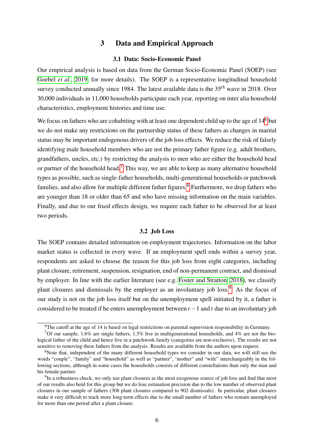## 3 Data and Empirical Approach

#### 3.1 Data: Socio-Economic Panel

Our empirical analysis is based on data from the German Socio-Economic Panel (SOEP) (see [Goebel](#page-32-17) *et al.*, [2019,](#page-32-17) for more details). The SOEP is a representative longitudinal household survey conducted annually since 1984. The latest available data is the 35*th* wave in 2018. Over 30,000 individuals in 11,000 households participate each year, reporting on inter alia household characteristics, employment histories and time use.

We focus on fathers who are cohabiting with at least one dependent child up to the age of  $14<sup>6</sup>$  $14<sup>6</sup>$  $14<sup>6</sup>$  but we do not make any restrictions on the partnership status of these fathers as changes in marital status may be important endogenous drivers of the job loss effects. We reduce the risk of falsely identifying male household members who are not the primary father figure (e.g. adult brothers, grandfathers, uncles, etc.) by restricting the analysis to men who are either the household head or partner of the household head.<sup>[7](#page-8-1)</sup> This way, we are able to keep as many alternative household types as possible, such as single-father households, multi-generational households or patchwork families, and also allow for multiple different father figures.<sup>[8](#page-8-2)</sup> Furthermore, we drop fathers who are younger than 18 or older than 65 and who have missing information on the main variables. Finally, and due to our fixed effects design, we require each father to be observed for at least two periods.

#### 3.2 Job Loss

The SOEP contains detailed information on employment trajectories. Information on the labor market status is collected in every wave. If an employment spell ends within a survey year, respondents are asked to choose the reason for this job loss from eight categories, including plant closure, retirement, suspension, resignation, end of non-permanent contract, and dismissal by employer. In line with the earlier literature (see e.g. [Foster and Stratton, 2018\)](#page-32-6), we classify plant closures and dismissals by the employer as an involuntary job loss.<sup>[9](#page-8-3)</sup> As the focus of our study is not on the job loss itself but on the unemployment spell initiated by it, a father is considered to be treated if he enters unemployment between  $t - 1$  and  $t$  due to an involuntary job

<span id="page-8-1"></span><span id="page-8-0"></span><sup>6</sup>The cutoff at the age of 14 is based on legal restrictions on parental supervision responsibility in Germany.

<sup>&</sup>lt;sup>7</sup>Of our sample, 1.6% are single fathers, 1.5% live in multigenerational households, and 4% are not the biological father of the child and hence live in a patchwork family (categories are non-exclusive). The results are not sensitive to removing these fathers from the analysis. Results are available from the authors upon request.

<span id="page-8-2"></span><sup>&</sup>lt;sup>8</sup>Note that, independent of the many different household types we consider in our data, we will still use the words "couple", "family" and "household" as well as "partner", 'mother" and "wife" interchangeably in the following sections, although in some cases the households consists of different constellations than only the man and his female partner.

<span id="page-8-3"></span> $9$ In a robustness check, we only use plant closures as the most exogenous source of job loss and find that most of our results also hold for this group but we do lose estimation precision due to the low number of observed plant closures in our sample of fathers (308 plant closures compared to 902 dismissals). In particular, plant closures make it very difficult to track more long-term effects due to the small number of fathers who remain unemployed for more than one period after a plant closure.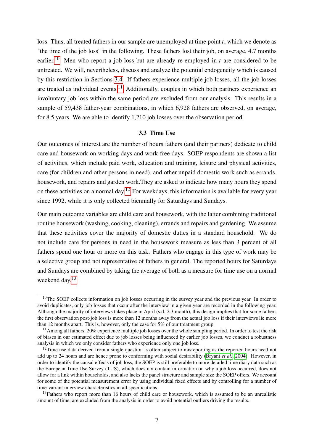loss. Thus, all treated fathers in our sample are unemployed at time point *t*, which we denote as "the time of the job loss" in the following. These fathers lost their job, on average, 4.7 months earlier.<sup>[10](#page-9-0)</sup> Men who report a job loss but are already re-employed in  $t$  are considered to be untreated. We will, nevertheless, discuss and analyze the potential endogeneity which is caused by this restriction in Sections [3.4.](#page-10-0) If fathers experience multiple job losses, all the job losses are treated as individual events.<sup>[11](#page-9-1)</sup> Additionally, couples in which both partners experience an involuntary job loss within the same period are excluded from our analysis. This results in a sample of 59,438 father-year combinations, in which 6,928 fathers are observed, on average, for 8.5 years. We are able to identify 1,210 job losses over the observation period.

#### 3.3 Time Use

<span id="page-9-4"></span>Our outcomes of interest are the number of hours fathers (and their partners) dedicate to child care and housework on working days and work-free days. SOEP respondents are shown a list of activities, which include paid work, education and training, leisure and physical activities, care (for children and other persons in need), and other unpaid domestic work such as errands, housework, and repairs and garden work.They are asked to indicate how many hours they spend on these activities on a normal day.[12](#page-9-2) For weekdays, this information is available for every year since 1992, while it is only collected biennially for Saturdays and Sundays.

Our main outcome variables are child care and housework, with the latter combining traditional routine housework (washing, cooking, cleaning), errands and repairs and gardening. We assume that these activities cover the majority of domestic duties in a standard household. We do not include care for persons in need in the housework measure as less than 3 percent of all fathers spend one hour or more on this task. Fathers who engage in this type of work may be a selective group and not representative of fathers in general. The reported hours for Saturdays and Sundays are combined by taking the average of both as a measure for time use on a normal weekend day.<sup>[13](#page-9-3)</sup>

<span id="page-9-0"></span><sup>&</sup>lt;sup>10</sup>The SOEP collects information on job losses occurring in the survey year and the previous year. In order to avoid duplicates, only job losses that occur after the interview in a given year are recorded in the following year. Although the majority of interviews takes place in April (s.d. 2.3 month), this design implies that for some fathers the first observation post-job loss is more than 12 months away from the actual job loss if their interviews lie more than 12 months apart. This is, however, only the case for 5% of our treatment group.

<span id="page-9-1"></span> $11$ Among all fathers, 20% experience multiple job losses over the whole sampling period. In order to test the risk of biases in our estimated effect due to job losses being influenced by earlier job losses, we conduct a robustness analysis in which we only consider fathers who experience only one job loss.

<span id="page-9-2"></span> $12$ Time use data derived from a single question is often subject to misreporting as the reported hours need not add up to 24 hours and are hence prone to conforming with social desirability [\(Bryant](#page-31-14) *et al.*, [2004\)](#page-31-14). However, in order to identify the causal effects of job loss, the SOEP is still preferable to more detailed time diary data such as the European Time Use Survey (TUS), which does not contain information on why a job loss occurred, does not allow for a link within households, and also lacks the panel structure and sample size the SOEP offers. We account for some of the potential measurement error by using individual fixed effects and by controlling for a number of time-variant interview characteristics in all specifications.

<span id="page-9-3"></span> $13$ Fathers who report more than 16 hours of child care or housework, which is assumed to be an unrealistic amount of time, are excluded from the analysis in order to avoid potential outliers driving the results.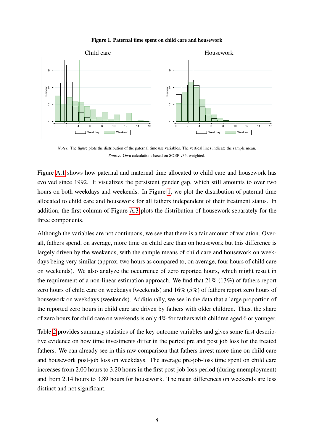

<span id="page-10-1"></span>

*Notes:* The figure plots the distribution of the paternal time use variables. The vertical lines indicate the sample mean. *Source:* Own calculations based on SOEP v35, weighted.

Figure [A.1](#page-35-0) shows how paternal and maternal time allocated to child care and housework has evolved since 1992. It visualizes the persistent gender gap, which still amounts to over two hours on both weekdays and weekends. In Figure [1,](#page-10-1) we plot the distribution of paternal time allocated to child care and housework for all fathers independent of their treatment status. In addition, the first column of Figure [A.3](#page-38-0) plots the distribution of housework separately for the three components.

Although the variables are not continuous, we see that there is a fair amount of variation. Overall, fathers spend, on average, more time on child care than on housework but this difference is largely driven by the weekends, with the sample means of child care and housework on weekdays being very similar (approx. two hours as compared to, on average, four hours of child care on weekends). We also analyze the occurrence of zero reported hours, which might result in the requirement of a non-linear estimation approach. We find that 21% (13%) of fathers report zero hours of child care on weekdays (weekends) and 16% (5%) of fathers report zero hours of housework on weekdays (weekends). Additionally, we see in the data that a large proportion of the reported zero hours in child care are driven by fathers with older children. Thus, the share of zero hours for child care on weekends is only 4% for fathers with children aged 6 or younger.

<span id="page-10-0"></span>Table [2](#page-11-0) provides summary statistics of the key outcome variables and gives some first descriptive evidence on how time investments differ in the period pre and post job loss for the treated fathers. We can already see in this raw comparison that fathers invest more time on child care and housework post-job loss on weekdays. The average pre-job-loss time spent on child care increases from 2.00 hours to 3.20 hours in the first post-job-loss-period (during unemployment) and from 2.14 hours to 3.89 hours for housework. The mean differences on weekends are less distinct and not significant.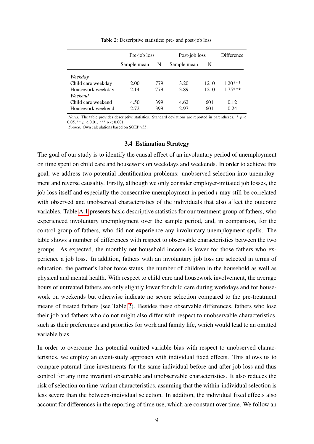<span id="page-11-0"></span>

|                    | Pre-job loss |     | Post-job loss | Difference |           |
|--------------------|--------------|-----|---------------|------------|-----------|
|                    | Sample mean  | N   | Sample mean   | N          |           |
| Weekday            |              |     |               |            |           |
| Child care weekday | 2.00         | 779 | 3.20          | 1210       | $1.20***$ |
| Housework weekday  | 2.14         | 779 | 3.89          | 1210       | $1.75***$ |
| Weekend            |              |     |               |            |           |
| Child care weekend | 4.50         | 399 | 4.62          | 601        | 0.12      |
| Housework weekend  | 2.72.        | 399 | 2.97          | 601        | 0.24      |

Table 2: Descriptive statistics: pre- and post-job loss

*Notes:* The table provides descriptive statistics. Standard deviations are reported in parentheses. \* *p* < 0.05, \*\*  $p < 0.01$ , \*\*\*  $p < 0.001$ .

*Source:* Own calculations based on SOEP v35.

#### 3.4 Estimation Strategy

The goal of our study is to identify the causal effect of an involuntary period of unemployment on time spent on child care and housework on weekdays and weekends. In order to achieve this goal, we address two potential identification problems: unobserved selection into unemployment and reverse causality. Firstly, although we only consider employer-initiated job losses, the job loss itself and especially the consecutive unemployment in period *t* may still be correlated with observed and unobserved characteristics of the individuals that also affect the outcome variables. Table [A.1](#page-36-0) presents basic descriptive statistics for our treatment group of fathers, who experienced involuntary unemployment over the sample period, and, in comparison, for the control group of fathers, who did not experience any involuntary unemployment spells. The table shows a number of differences with respect to observable characteristics between the two groups. As expected, the monthly net household income is lower for those fathers who experience a job loss. In addition, fathers with an involuntary job loss are selected in terms of education, the partner's labor force status, the number of children in the household as well as physical and mental health. With respect to child care and housework involvement, the average hours of untreated fathers are only slightly lower for child care during workdays and for housework on weekends but otherwise indicate no severe selection compared to the pre-treatment means of treated fathers (see Table [2\)](#page-11-0). Besides these observable differences, fathers who lose their job and fathers who do not might also differ with respect to unobservable characteristics, such as their preferences and priorities for work and family life, which would lead to an omitted variable bias.

In order to overcome this potential omitted variable bias with respect to unobserved characteristics, we employ an event-study approach with individual fixed effects. This allows us to compare paternal time investments for the same individual before and after job loss and thus control for any time invariant observable and unobservable characteristics. It also reduces the risk of selection on time-variant characteristics, assuming that the within-individual selection is less severe than the between-individual selection. In addition, the individual fixed effects also account for differences in the reporting of time use, which are constant over time. We follow an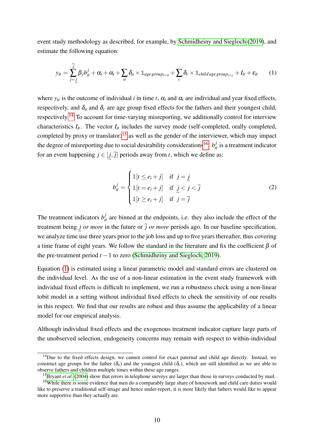event study methodology as described, for example, by [Schmidheiny and Siegloch](#page-33-13) [\(2019\)](#page-33-13), and estimate the following equation:

<span id="page-12-3"></span>
$$
y_{it} = \sum_{j=j}^{j} \beta_j b_{it}^j + \alpha_i + \alpha_t + \sum_a \delta_a \times \mathbb{1}_{\text{age group}_{i=a}} + \sum_c \delta_c \times \mathbb{1}_{\text{child age group}_{i=c}} + I_{it} + \varepsilon_{it}
$$
 (1)

where  $y_{it}$  is the outcome of individual *i* in time *t*,  $\alpha_i$  and  $\alpha_t$  are individual and year fixed effects, respectively, and  $\delta_a$  and  $\delta_c$  are age group fixed effects for the fathers and their youngest child, respectively.<sup>[14](#page-12-0)</sup> To account for time-varying misreporting, we additionally control for interview characteristics  $I_{it}$ . The vector  $I_{it}$  includes the survey mode (self-completed, orally completed, completed by proxy or translator)<sup>[15](#page-12-1)</sup> as well as the gender of the interviewer, which may impact the degree of misreporting due to social desirability considerations<sup>[16](#page-12-2)</sup>.  $b_{it}^j$  is a treatment indicator for an event happening  $j \in [j, \overline{j}]$  periods away from *t*, which we define as:

$$
b_{ii}^j = \begin{cases} \mathbb{1}[t \le e_i + j] & \text{if } j = \underline{j} \\ \mathbb{1}[t = e_i + j] & \text{if } \underline{j} < j < \overline{j} \\ \mathbb{1}[t \ge e_i + j] & \text{if } j = \overline{j} \end{cases} \tag{2}
$$

The treatment indicators  $b_{it}^j$  are binned at the endpoints, i.e. they also include the effect of the treatment being *j or more* in the future or  $\overline{j}$  *or more* periods ago. In our baseline specification, we analyze time use three years prior to the job loss and up to five years thereafter, thus covering a time frame of eight years. We follow the standard in the literature and fix the coefficient  $\beta$  of the pre-treatment period  $t - 1$  to zero [\(Schmidheiny and Siegloch, 2019\)](#page-33-13).

Equation [\(1\)](#page-12-3) is estimated using a linear parametric model and standard errors are clustered on the individual level. As the use of a non-linear estimation in the event study framework with individual fixed effects is difficult to implement, we run a robustness check using a non-linear tobit model in a setting without individual fixed effects to check the sensitivity of our results in this respect. We find that our results are robust and thus assume the applicability of a linear model for our empirical analysis.

Although individual fixed effects and the exogenous treatment indicator capture large parts of the unobserved selection, endogeneity concerns may remain with respect to within-individual

<span id="page-12-2"></span><span id="page-12-1"></span><sup>15</sup>[Bryant](#page-31-14) *et al.* [\(2004\)](#page-31-14) show that errors in telephone surveys are larger than those in surveys conducted by mail.

<span id="page-12-0"></span><sup>&</sup>lt;sup>14</sup>Due to the fixed effects design, we cannot control for exact paternal and child age directly. Instead, we construct age groups for the father  $(\delta_a)$  and the youngest child  $(\delta_c)$ , which are still identified as we are able to observe fathers and children multiple times within these age ranges.

<sup>&</sup>lt;sup>16</sup>While there is some evidence that men do a comparably large share of housework and child care duties would like to preserve a traditional self-image and hence under-report, it is more likely that fathers would like to appear more supportive than they actually are.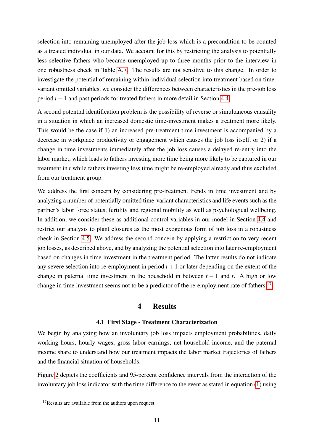selection into remaining unemployed after the job loss which is a precondition to be counted as a treated individual in our data. We account for this by restricting the analysis to potentially less selective fathers who became unemployed up to three months prior to the interview in one robustness check in Table [A.7.](#page-42-0) The results are not sensitive to this change. In order to investigate the potential of remaining within-individual selection into treatment based on timevariant omitted variables, we consider the differences between characteristics in the pre-job loss period *t* −1 and past periods for treated fathers in more detail in Section [4.4.](#page-19-0)

A second potential identification problem is the possibility of reverse or simultaneous causality in a situation in which an increased domestic time-investment makes a treatment more likely. This would be the case if 1) an increased pre-treatment time investment is accompanied by a decrease in workplace productivity or engagement which causes the job loss itself, or 2) if a change in time investments immediately after the job loss causes a delayed re-entry into the labor market, which leads to fathers investing more time being more likely to be captured in our treatment in *t* while fathers investing less time might be re-employed already and thus excluded from our treatment group.

We address the first concern by considering pre-treatment trends in time investment and by analyzing a number of potentially omitted time-variant characteristics and life events such as the partner's labor force status, fertility and regional mobility as well as psychological wellbeing. In addition, we consider these as additional control variables in our model in Section [4.4](#page-19-0) and restrict our analysis to plant closures as the most exogenous form of job loss in a robustness check in Section [4.5.](#page-20-0) We address the second concern by applying a restriction to very recent job losses, as described above, and by analyzing the potential selection into later re-employment based on changes in time investment in the treatment period. The latter results do not indicate any severe selection into re-employment in period  $t + 1$  or later depending on the extent of the change in paternal time investment in the household in between  $t - 1$  and  $t$ . A high or low change in time investment seems not to be a predictor of the re-employment rate of fathers.<sup>[17](#page-13-0)</sup>

## 4 Results

#### 4.1 First Stage - Treatment Characterization

We begin by analyzing how an involuntary job loss impacts employment probabilities, daily working hours, hourly wages, gross labor earnings, net household income, and the paternal income share to understand how our treatment impacts the labor market trajectories of fathers and the financial situation of households.

Figure [2](#page-14-0) depicts the coefficients and 95-percent confidence intervals from the interaction of the involuntary job loss indicator with the time difference to the event as stated in equation [\(1\)](#page-12-3) using

<span id="page-13-0"></span> $17$ Results are available from the authors upon request.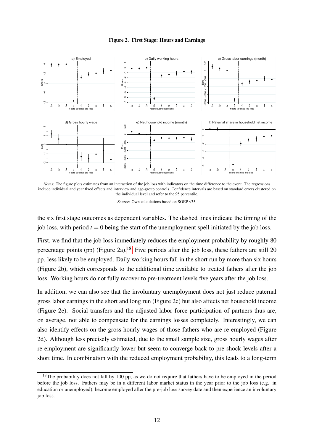

<span id="page-14-0"></span>

*Notes:* The figure plots estimates from an interaction of the job loss with indicators on the time difference to the event. The regressions include individual and year fixed effects and interview and age-group controls. Confidence intervals are based on standard errors clustered on the individual level and refer to the 95 percentile.

the six first stage outcomes as dependent variables. The dashed lines indicate the timing of the job loss, with period  $t = 0$  being the start of the unemployment spell initiated by the job loss.

First, we find that the job loss immediately reduces the employment probability by roughly 80 percentage points (pp) (Figure 2a).<sup>[18](#page-14-1)</sup> Five periods after the job loss, these fathers are still 20 pp. less likely to be employed. Daily working hours fall in the short run by more than six hours (Figure 2b), which corresponds to the additional time available to treated fathers after the job loss. Working hours do not fully recover to pre-treatment levels five years after the job loss.

In addition, we can also see that the involuntary unemployment does not just reduce paternal gross labor earnings in the short and long run (Figure 2c) but also affects net household income (Figure 2e). Social transfers and the adjusted labor force participation of partners thus are, on average, not able to compensate for the earnings losses completely. Interestingly, we can also identify effects on the gross hourly wages of those fathers who are re-employed (Figure 2d). Although less precisely estimated, due to the small sample size, gross hourly wages after re-employment are significantly lower but seem to converge back to pre-shock levels after a short time. In combination with the reduced employment probability, this leads to a long-term

*Source:* Own calculations based on SOEP v35.

<span id="page-14-1"></span><sup>&</sup>lt;sup>18</sup>The probability does not fall by 100 pp, as we do not require that fathers have to be employed in the period before the job loss. Fathers may be in a different labor market status in the year prior to the job loss (e.g. in education or unemployed), become employed after the pre-job loss survey date and then experience an involuntary job loss.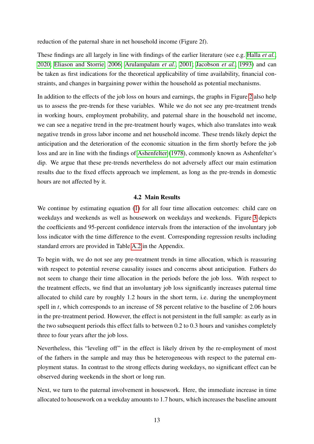reduction of the paternal share in net household income (Figure 2f).

These findings are all largely in line with findings of the earlier literature (see e.g. [Halla](#page-32-10) *et al.*, [2020;](#page-32-10) [Eliason and Storrie, 2006;](#page-31-9) [Arulampalam](#page-30-11) *et al.*, [2001;](#page-30-11) [Jacobson](#page-32-12) *et al.*, [1993\)](#page-32-12) and can be taken as first indications for the theoretical applicability of time availability, financial constraints, and changes in bargaining power within the household as potential mechanisms.

In addition to the effects of the job loss on hours and earnings, the graphs in Figure [2](#page-14-0) also help us to assess the pre-trends for these variables. While we do not see any pre-treatment trends in working hours, employment probability, and paternal share in the household net income, we can see a negative trend in the pre-treatment hourly wages, which also translates into weak negative trends in gross labor income and net household income. These trends likely depict the anticipation and the deterioration of the economic situation in the firm shortly before the job loss and are in line with the findings of [Ashenfelter](#page-30-14) [\(1978\)](#page-30-14), commonly known as Ashenfelter's dip. We argue that these pre-trends nevertheless do not adversely affect our main estimation results due to the fixed effects approach we implement, as long as the pre-trends in domestic hours are not affected by it.

#### 4.2 Main Results

We continue by estimating equation [\(1\)](#page-12-3) for all four time allocation outcomes: child care on weekdays and weekends as well as housework on weekdays and weekends. Figure [3](#page-16-0) depicts the coefficients and 95-percent confidence intervals from the interaction of the involuntary job loss indicator with the time difference to the event. Corresponding regression results including standard errors are provided in Table [A.2](#page-37-0) in the Appendix.

To begin with, we do not see any pre-treatment trends in time allocation, which is reassuring with respect to potential reverse causality issues and concerns about anticipation. Fathers do not seem to change their time allocation in the periods before the job loss. With respect to the treatment effects, we find that an involuntary job loss significantly increases paternal time allocated to child care by roughly 1.2 hours in the short term, i.e. during the unemployment spell in *t*, which corresponds to an increase of 58 percent relative to the baseline of 2.06 hours in the pre-treatment period. However, the effect is not persistent in the full sample: as early as in the two subsequent periods this effect falls to between 0.2 to 0.3 hours and vanishes completely three to four years after the job loss.

Nevertheless, this "leveling off" in the effect is likely driven by the re-employment of most of the fathers in the sample and may thus be heterogeneous with respect to the paternal employment status. In contrast to the strong effects during weekdays, no significant effect can be observed during weekends in the short or long run.

Next, we turn to the paternal involvement in housework. Here, the immediate increase in time allocated to housework on a weekday amounts to 1.7 hours, which increases the baseline amount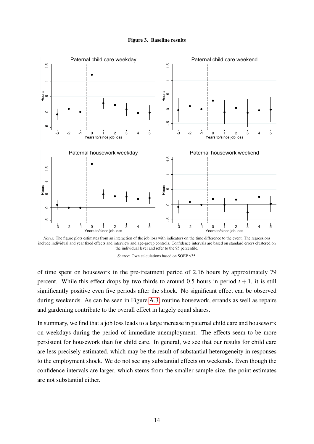

<span id="page-16-0"></span>

*Notes:* The figure plots estimates from an interaction of the job loss with indicators on the time difference to the event. The regressions include individual and year fixed effects and interview and age-group controls. Confidence intervals are based on standard errors clustered on the individual level and refer to the 95 percentile.

*Source:* Own calculations based on SOEP v35.

of time spent on housework in the pre-treatment period of 2.16 hours by approximately 79 percent. While this effect drops by two thirds to around 0.5 hours in period  $t + 1$ , it is still significantly positive even five periods after the shock. No significant effect can be observed during weekends. As can be seen in Figure [A.3,](#page-38-0) routine housework, errands as well as repairs and gardening contribute to the overall effect in largely equal shares.

<span id="page-16-1"></span>In summary, we find that a job loss leads to a large increase in paternal child care and housework on weekdays during the period of immediate unemployment. The effects seem to be more persistent for housework than for child care. In general, we see that our results for child care are less precisely estimated, which may be the result of substantial heterogeneity in responses to the employment shock. We do not see any substantial effects on weekends. Even though the confidence intervals are larger, which stems from the smaller sample size, the point estimates are not substantial either.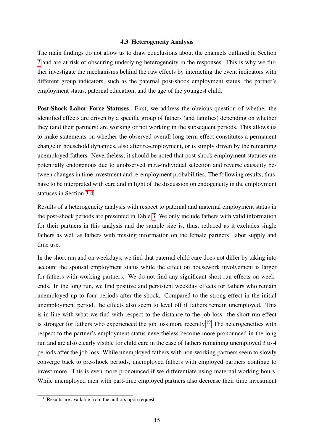#### 4.3 Heterogeneity Analysis

The main findings do not allow us to draw conclusions about the channels outlined in Section [2](#page-5-1) and are at risk of obscuring underlying heterogeneity in the responses. This is why we further investigate the mechanisms behind the raw effects by interacting the event indicators with different group indicators, such as the paternal post-shock employment status, the partner's employment status, paternal education, and the age of the youngest child.

Post-Shock Labor Force Statuses First, we address the obvious question of whether the identified effects are driven by a specific group of fathers (and families) depending on whether they (and their partners) are working or not working in the subsequent periods. This allows us to make statements on whether the observed overall long-term effect constitutes a permanent change in household dynamics, also after re-employment, or is simply driven by the remaining unemployed fathers. Nevertheless, it should be noted that post-shock employment statuses are potentially endogenous due to unobserved intra-individual selection and reverse causality between changes in time investment and re-employment probabilities. The following results, thus, have to be interpreted with care and in light of the discussion on endogeneity in the employment statuses in Section [3.4.](#page-10-0)

Results of a heterogeneity analysis with respect to paternal and maternal employment status in the post-shock periods are presented in Table [3.](#page-18-0) We only include fathers with valid information for their partners in this analysis and the sample size is, thus, reduced as it excludes single fathers as well as fathers with missing information on the female partners' labor supply and time use.

In the short run and on weekdays, we find that paternal child care does not differ by taking into account the spousal employment status while the effect on housework involvement is larger for fathers with working partners. We do not find any significant short-run effects on weekends. In the long run, we find positive and persistent weekday effects for fathers who remain unemployed up to four periods after the shock. Compared to the strong effect in the initial unemployment period, the effects also seem to level off if fathers remain unemployed. This is in line with what we find with respect to the distance to the job loss: the short-run effect is stronger for fathers who experienced the job loss more recently.<sup>[19](#page-17-0)</sup> The heterogeneities with respect to the partner's employment status nevertheless become more pronounced in the long run and are also clearly visible for child care in the case of fathers remaining unemployed 3 to 4 periods after the job loss. While unemployed fathers with non-working partners seem to slowly converge back to pre-shock periods, unemployed fathers with employed partners continue to invest more. This is even more pronounced if we differentiate using maternal working hours. While unemployed men with part-time employed partners also decrease their time investment

<span id="page-17-0"></span> $19$ Results are available from the authors upon request.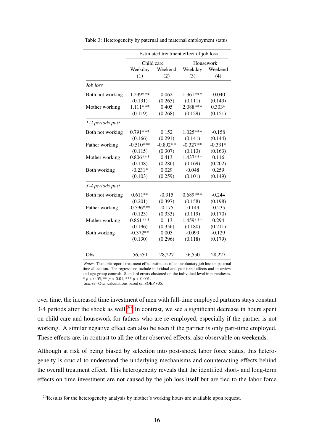|                  | Estimated treatment effect of job loss |            |            |           |  |
|------------------|----------------------------------------|------------|------------|-----------|--|
|                  | Child care                             |            |            | Housework |  |
|                  | Weekday                                | Weekend    | Weekday    | Weekend   |  |
|                  | (1)                                    | (2)        | (3)        | (4)       |  |
| Job loss         |                                        |            |            |           |  |
| Both not working | 1.239***                               | 0.062      | 1.361***   | $-0.040$  |  |
|                  | (0.131)                                | (0.265)    | (0.111)    | (0.143)   |  |
| Mother working   | $1.111***$                             | 0.405      | 2.088***   | $0.303*$  |  |
|                  | (0.119)                                | (0.268)    | (0.129)    | (0.151)   |  |
| 1-2 periods post |                                        |            |            |           |  |
| Both not working | $0.791***$                             | 0.152      | $1.025***$ | $-0.158$  |  |
|                  | (0.166)                                | (0.291)    | (0.141)    | (0.144)   |  |
| Father working   | $-0.510***$                            | $-0.892**$ | $-0.327**$ | $-0.331*$ |  |
|                  | (0.115)                                | (0.307)    | (0.113)    | (0.163)   |  |
| Mother working   | $0.806***$                             | 0.413      | $1.437***$ | 0.116     |  |
|                  | (0.148)                                | (0.286)    | (0.169)    | (0.202)   |  |
| Both working     | $-0.231*$                              | 0.029      | $-0.048$   | 0.259     |  |
|                  | (0.103)                                | (0.259)    | (0.101)    | (0.149)   |  |
| 3-4 periods post |                                        |            |            |           |  |
| Both not working | $0.611**$                              | $-0.315$   | $0.689***$ | $-0.244$  |  |
|                  | (0.201)                                | (0.397)    | (0.158)    | (0.198)   |  |
| Father working   | $-0.596***$                            | $-0.175$   | $-0.149$   | $-0.235$  |  |
|                  | (0.123)                                | (0.333)    | (0.119)    | (0.170)   |  |
| Mother working   | $0.861***$                             | 0.113      | 1.459***   | 0.294     |  |
|                  | (0.196)                                | (0.356)    | (0.180)    | (0.211)   |  |
| Both working     | $-0.372**$                             | 0.005      | $-0.099$   | $-0.129$  |  |
|                  | (0.130)                                | (0.296)    | (0.118)    | (0.179)   |  |
|                  |                                        |            |            |           |  |
| Obs.             | 56,550                                 | 28,227     | 56,550     | 28,227    |  |

<span id="page-18-0"></span>Table 3: Heterogeneity by paternal and maternal employment status

*Notes*: The table reports treatment effect estimates of an involuntary job loss on paternal time allocation. The regressions include individual and year fixed effects and interview and age-group controls. Standard errors clustered on the individual level in parentheses.  $*$   $p < 0.05$ ,  $*$   $*$   $p < 0.01$ ,  $*$   $*$   $*$   $p < 0.001$ .

*Source:* Own calculations based on SOEP v35.

over time, the increased time investment of men with full-time employed partners stays constant 3-4 periods after the shock as well.<sup>[20](#page-18-1)</sup> In contrast, we see a significant decrease in hours spent on child care and housework for fathers who are re-employed, especially if the partner is not working. A similar negative effect can also be seen if the partner is only part-time employed. These effects are, in contrast to all the other observed effects, also observable on weekends.

Although at risk of being biased by selection into post-shock labor force status, this heterogeneity is crucial to understand the underlying mechanisms and counteracting effects behind the overall treatment effect. This heterogeneity reveals that the identified short- and long-term effects on time investment are not caused by the job loss itself but are tied to the labor force

<span id="page-18-1"></span> $^{20}$ Results for the heterogeneity analysis by mother's working hours are available upon request.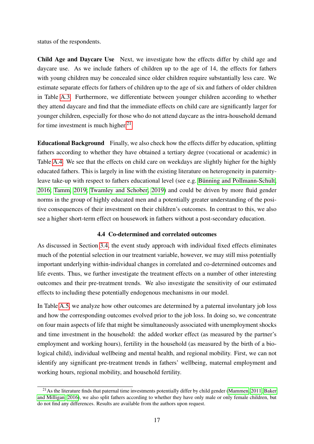status of the respondents.

Child Age and Daycare Use Next, we investigate how the effects differ by child age and daycare use. As we include fathers of children up to the age of 14, the effects for fathers with young children may be concealed since older children require substantially less care. We estimate separate effects for fathers of children up to the age of six and fathers of older children in Table [A.3.](#page-39-0) Furthermore, we differentiate between younger children according to whether they attend daycare and find that the immediate effects on child care are significantly larger for younger children, especially for those who do not attend daycare as the intra-household demand for time investment is much higher. $^{21}$  $^{21}$  $^{21}$ 

Educational Background Finally, we also check how the effects differ by education, splitting fathers according to whether they have obtained a tertiary degree (vocational or academic) in Table [A.4.](#page-40-0) We see that the effects on child care on weekdays are slightly higher for the highly educated fathers. This is largely in line with the existing literature on heterogeneity in paternityleave take-up with respect to fathers educational level (see e.g. [Bünning and Pollmann-Schult,](#page-31-2) [2016;](#page-31-2) [Tamm, 2019;](#page-34-1) [Twamley and Schober, 2019\)](#page-34-4) and could be driven by more fluid gender norms in the group of highly educated men and a potentially greater understanding of the positive consequences of their investment on their children's outcomes. In contrast to this, we also see a higher short-term effect on housework in fathers without a post-secondary education.

#### 4.4 Co-determined and correlated outcomes

<span id="page-19-0"></span>As discussed in Section [3.4,](#page-10-0) the event study approach with individual fixed effects eliminates much of the potential selection in our treatment variable, however, we may still miss potentially important underlying within-individual changes in correlated and co-determined outcomes and life events. Thus, we further investigate the treatment effects on a number of other interesting outcomes and their pre-treatment trends. We also investigate the sensitivity of our estimated effects to including these potentially endogenous mechanisms in our model.

In Table [A.5,](#page-40-1) we analyze how other outcomes are determined by a paternal involuntary job loss and how the corresponding outcomes evolved prior to the job loss. In doing so, we concentrate on four main aspects of life that might be simultaneously associated with unemployment shocks and time investment in the household: the added worker effect (as measured by the partner's employment and working hours), fertility in the household (as measured by the birth of a biological child), individual wellbeing and mental health, and regional mobility. First, we can not identify any significant pre-treatment trends in fathers' wellbeing, maternal employment and working hours, regional mobility, and household fertility.

<span id="page-19-1"></span><sup>&</sup>lt;sup>21</sup>As the literature finds that paternal time investments potentially differ by child gender [\(Mammen, 2011;](#page-33-14) [Baker](#page-30-15) [and Milligan, 2016\)](#page-30-15), we also split fathers according to whether they have only male or only female children, but do not find any differences. Results are available from the authors upon request.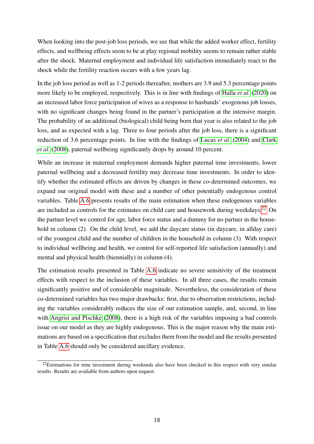When looking into the post-job loss periods, we see that while the added worker effect, fertility effects, and wellbeing effects seem to be at play regional mobility seems to remain rather stable after the shock. Maternal employment and individual life satisfaction immediately react to the shock while the fertility reaction occurs with a few years lag.

In the job loss period as well as 1-2 periods thereafter, mothers are 3.9 and 5.3 percentage points more likely to be employed, respectively. This is in line with findings of [Halla](#page-32-10) *et al.* [\(2020\)](#page-32-10) on an increased labor force participation of wives as a response to husbands' exogenous job losses, with no significant changes being found in the partner's participation at the intensive margin. The probability of an additional (biological) child being born that year is also related to the job loss, and as expected with a lag. Three to four periods after the job loss, there is a significant reduction of 3.6 percentage points. In line with the findings of [Lucas](#page-32-18) *et al.* [\(2004\)](#page-32-18) and [Clark](#page-31-15) *[et al.](#page-31-15)* [\(2008\)](#page-31-15), paternal wellbeing significantly drops by around 10 percent.

While an increase in maternal employment demands higher paternal time investments, lower paternal wellbeing and a decreased fertility may decrease time investments. In order to identify whether the estimated effects are driven by changes in these co-determined outcomes, we expand our original model with these and a number of other potentially endogenous control variables. Table [A.6](#page-41-0) presents results of the main estimation when these endogenous variables are included as controls for the estimates on child care and housework during weekdays.<sup>[22](#page-20-1)</sup> On the partner level we control for age, labor force status and a dummy for no partner in the household in column (2). On the child level, we add the daycare status (in daycare, in allday care) of the youngest child and the number of children in the household in column (3). With respect to individual wellbeing and health, we control for self-reported life satisfaction (annually) and mental and physical health (biennially) in column (4).

The estimation results presented in Table [A.6](#page-41-0) indicate no severe sensitivity of the treatment effects with respect to the inclusion of these variables. In all three cases, the results remain significantly positive and of considerable magnitude. Nevertheless, the consideration of these co-determined variables has two major drawbacks: first, due to observation restrictions, including the variables considerably reduces the size of our estimation sample, and, second, in line with [Angrist and Pischke](#page-30-16) [\(2008\)](#page-30-16), there is a high risk of the variables imposing a bad controls issue on our model as they are highly endogenous. This is the major reason why the main estimations are based on a specification that excludes them from the model and the results presented in Table [A.6](#page-41-0) should only be considered ancillary evidence.

<span id="page-20-1"></span><span id="page-20-0"></span> $22$ Estimations for time investment during weekends also have been checked in this respect with very similar results. Results are available from authors upon request.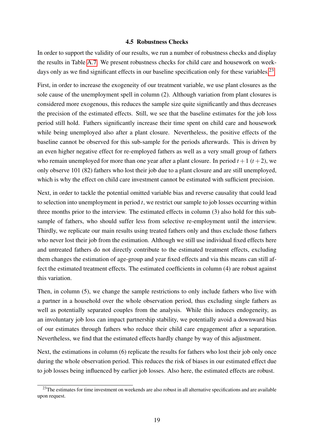#### 4.5 Robustness Checks

In order to support the validity of our results, we run a number of robustness checks and display the results in Table [A.7.](#page-42-0) We present robustness checks for child care and housework on week-days only as we find significant effects in our baseline specification only for these variables.<sup>[23](#page-21-0)</sup>

First, in order to increase the exogeneity of our treatment variable, we use plant closures as the sole cause of the unemployment spell in column (2). Although variation from plant closures is considered more exogenous, this reduces the sample size quite significantly and thus decreases the precision of the estimated effects. Still, we see that the baseline estimates for the job loss period still hold. Fathers significantly increase their time spent on child care and housework while being unemployed also after a plant closure. Nevertheless, the positive effects of the baseline cannot be observed for this sub-sample for the periods afterwards. This is driven by an even higher negative effect for re-employed fathers as well as a very small group of fathers who remain unemployed for more than one year after a plant closure. In period  $t + 1$  ( $t + 2$ ), we only observe 101 (82) fathers who lost their job due to a plant closure and are still unemployed, which is why the effect on child care investment cannot be estimated with sufficient precision.

Next, in order to tackle the potential omitted variable bias and reverse causality that could lead to selection into unemployment in period *t*, we restrict our sample to job losses occurring within three months prior to the interview. The estimated effects in column (3) also hold for this subsample of fathers, who should suffer less from selective re-employment until the interview. Thirdly, we replicate our main results using treated fathers only and thus exclude those fathers who never lost their job from the estimation. Although we still use individual fixed effects here and untreated fathers do not directly contribute to the estimated treatment effects, excluding them changes the estimation of age-group and year fixed effects and via this means can still affect the estimated treatment effects. The estimated coefficients in column (4) are robust against this variation.

Then, in column (5), we change the sample restrictions to only include fathers who live with a partner in a household over the whole observation period, thus excluding single fathers as well as potentially separated couples from the analysis. While this induces endogeneity, as an involuntary job loss can impact partnership stability, we potentially avoid a downward bias of our estimates through fathers who reduce their child care engagement after a separation. Nevertheless, we find that the estimated effects hardly change by way of this adjustment.

Next, the estimations in column (6) replicate the results for fathers who lost their job only once during the whole observation period. This reduces the risk of biases in our estimated effect due to job losses being influenced by earlier job losses. Also here, the estimated effects are robust.

<span id="page-21-0"></span> $^{23}$ The estimates for time investment on weekends are also robust in all alternative specifications and are available upon request.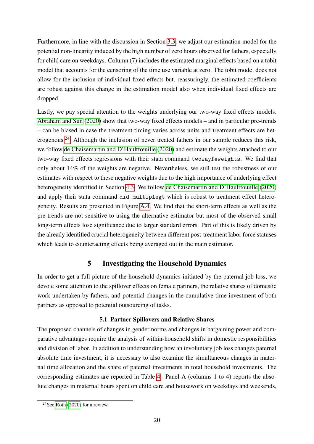Furthermore, in line with the discussion in Section [3.3,](#page-9-4) we adjust our estimation model for the potential non-linearity induced by the high number of zero hours observed for fathers, especially for child care on weekdays. Column (7) includes the estimated marginal effects based on a tobit model that accounts for the censoring of the time use variable at zero. The tobit model does not allow for the inclusion of individual fixed effects but, reassuringly, the estimated coefficients are robust against this change in the estimation model also when individual fixed effects are dropped.

Lastly, we pay special attention to the weights underlying our two-way fixed effects models. [Abraham and Sun](#page-30-17) [\(2020\)](#page-30-17) show that two-way fixed effects models – and in particular pre-trends – can be biased in case the treatment timing varies across units and treatment effects are heterogenous.[24](#page-22-0) Although the inclusion of never treated fathers in our sample reduces this risk, we follow [de Chaisemartin and D'Haultfœuille](#page-31-16) [\(2020\)](#page-31-16) and estimate the weights attached to our two-way fixed effects regressions with their stata command twowayfeweights. We find that only about 14% of the weights are negative. Nevertheless, we still test the robustness of our estimates with respect to these negative weights due to the high importance of underlying effect heterogeneity identified in Section [4.3.](#page-16-1) We follow [de Chaisemartin and D'Haultfœuille](#page-31-16) [\(2020\)](#page-31-16) and apply their stata command did\_multiplegt which is robust to treatment effect heterogeneity. Results are presented in Figure [A.4.](#page-43-0) We find that the short-term effects as well as the pre-trends are not sensitive to using the alternative estimator but most of the observed small long-term effects lose significance due to larger standard errors. Part of this is likely driven by the already identified crucial heterogeneity between different post-treatment labor force statuses which leads to counteracting effects being averaged out in the main estimator.

## 5 Investigating the Household Dynamics

In order to get a full picture of the household dynamics initiated by the paternal job loss, we devote some attention to the spillover effects on female partners, the relative shares of domestic work undertaken by fathers, and potential changes in the cumulative time investment of both partners as opposed to potential outsourcing of tasks.

## 5.1 Partner Spillovers and Relative Shares

The proposed channels of changes in gender norms and changes in bargaining power and comparative advantages require the analysis of within-household shifts in domestic responsibilities and division of labor. In addition to understanding how an involuntary job loss changes paternal absolute time investment, it is necessary to also examine the simultaneous changes in maternal time allocation and the share of paternal investments in total household investments. The corresponding estimates are reported in Table [4.](#page-23-0) Panel A (columns 1 to 4) reports the absolute changes in maternal hours spent on child care and housework on weekdays and weekends,

<span id="page-22-0"></span><sup>&</sup>lt;sup>24</sup>See [Roth](#page-33-15) [\(2020\)](#page-33-15) for a review.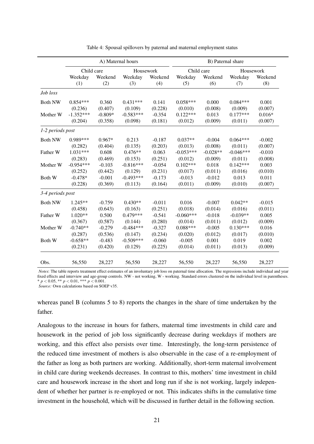<span id="page-23-0"></span>

|                  | A) Maternal hours |           |             | B) Paternal share |             |            |             |          |
|------------------|-------------------|-----------|-------------|-------------------|-------------|------------|-------------|----------|
|                  | Child care        |           | Housework   |                   | Child care  |            | Housework   |          |
|                  | Weekday           | Weekend   | Weekday     | Weekend           | Weekday     | Weekend    | Weekday     | Weekend  |
|                  | (1)               | (2)       | (3)         | (4)               | (5)         | (6)        | (7)         | (8)      |
| Job loss         |                   |           |             |                   |             |            |             |          |
| <b>Both NW</b>   | $0.854***$        | 0.360     | $0.431***$  | 0.141             | $0.058***$  | 0.000      | $0.084***$  | 0.001    |
|                  | (0.236)           | (0.407)   | (0.109)     | (0.228)           | (0.010)     | (0.008)    | (0.009)     | (0.007)  |
| Mother W         | $-1.352***$       | $-0.809*$ | $-0.583***$ | $-0.354$          | $0.122***$  | 0.013      | $0.177***$  | $0.016*$ |
|                  | (0.204)           | (0.358)   | (0.098)     | (0.181)           | (0.012)     | (0.009)    | (0.011)     | (0.007)  |
| 1-2 periods post |                   |           |             |                   |             |            |             |          |
| <b>Both NW</b>   | 0.989***          | $0.967*$  | 0.213       | $-0.187$          | $0.037**$   | $-0.004$   | $0.064***$  | $-0.002$ |
|                  | (0.282)           | (0.404)   | (0.135)     | (0.203)           | (0.013)     | (0.008)    | (0.011)     | (0.007)  |
| Father W         | 1.031***          | 0.608     | $0.476**$   | 0.063             | $-0.053***$ | $-0.028**$ | $-0.046***$ | $-0.010$ |
|                  | (0.283)           | (0.469)   | (0.153)     | (0.251)           | (0.012)     | (0.009)    | (0.011)     | (0.008)  |
| Mother W         | $-0.954***$       | $-0.103$  | $-0.816***$ | $-0.054$          | $0.102***$  | 0.018      | $0.142***$  | 0.003    |
|                  | (0.252)           | (0.442)   | (0.129)     | (0.231)           | (0.017)     | (0.011)    | (0.016)     | (0.010)  |
| Both W           | $-0.478*$         | $-0.001$  | $-0.493***$ | $-0.173$          | $-0.013$    | $-0.012$   | 0.013       | 0.011    |
|                  | (0.228)           | (0.369)   | (0.113)     | (0.164)           | (0.011)     | (0.009)    | (0.010)     | (0.007)  |
| 3-4 periods post |                   |           |             |                   |             |            |             |          |
| <b>Both NW</b>   | $1.245**$         | $-0.759$  | $0.430**$   | $-0.011$          | 0.016       | $-0.007$   | $0.042**$   | $-0.015$ |
|                  | (0.458)           | (0.643)   | (0.163)     | (0.251)           | (0.018)     | (0.014)    | (0.016)     | (0.011)  |
| Father W         | $1.020**$         | 0.500     | $0.479***$  | $-0.541$          | $-0.060***$ | $-0.018$   | $-0.039**$  | 0.005    |
|                  | (0.367)           | (0.587)   | (0.144)     | (0.280)           | (0.014)     | (0.011)    | (0.012)     | (0.009)  |
| Mother W         | $-0.740**$        | $-0.279$  | $-0.484***$ | $-0.327$          | $0.088***$  | $-0.005$   | $0.130***$  | 0.016    |
|                  | (0.287)           | (0.536)   | (0.147)     | (0.234)           | (0.020)     | (0.012)    | (0.017)     | (0.010)  |
| Both W           | $-0.658**$        | $-0.483$  | $-0.509***$ | $-0.060$          | $-0.005$    | 0.001      | 0.019       | 0.002    |
|                  | (0.231)           | (0.420)   | (0.129)     | (0.225)           | (0.014)     | (0.011)    | (0.013)     | (0.009)  |
|                  |                   |           |             |                   |             |            |             |          |
| Obs.             | 56,550            | 28,227    | 56,550      | 28,227            | 56,550      | 28,227     | 56,550      | 28,227   |

Table 4: Spousal spillovers by paternal and maternal employment status

*Notes*: The table reports treatment effect estimates of an involuntary job loss on paternal time allocation. The regressions include individual and year fixed effects and interview and age-group controls. NW - not working, W - working. Standard errors clustered on the individual level in parentheses. \*  $p < 0.05$ , \*\*  $p < 0.01$ , \*\*\*  $p < 0.001$ .

*Source:* Own calculations based on SOEP v35.

whereas panel B (columns 5 to 8) reports the changes in the share of time undertaken by the father.

Analogous to the increase in hours for fathers, maternal time investments in child care and housework in the period of job loss significantly decrease during weekdays if mothers are working, and this effect also persists over time. Interestingly, the long-term persistence of the reduced time investment of mothers is also observable in the case of a re-employment of the father as long as both partners are working. Additionally, short-term maternal involvement in child care during weekends decreases. In contrast to this, mothers' time investment in child care and housework increase in the short and long run if she is not working, largely independent of whether her partner is re-employed or not. This indicates shifts in the cumulative time investment in the household, which will be discussed in further detail in the following section.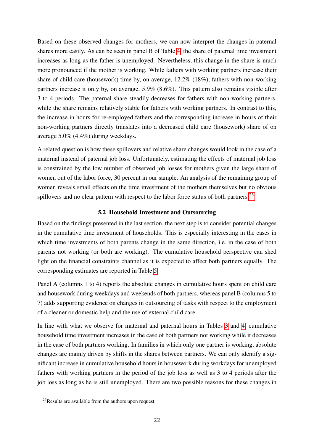Based on these observed changes for mothers, we can now interpret the changes in paternal shares more easily. As can be seen in panel B of Table [4,](#page-23-0) the share of paternal time investment increases as long as the father is unemployed. Nevertheless, this change in the share is much more pronounced if the mother is working. While fathers with working partners increase their share of child care (housework) time by, on average, 12.2% (18%), fathers with non-working partners increase it only by, on average, 5.9% (8.6%). This pattern also remains visible after 3 to 4 periods. The paternal share steadily decreases for fathers with non-working partners, while the share remains relatively stable for fathers with working partners. In contrast to this, the increase in hours for re-employed fathers and the corresponding increase in hours of their non-working partners directly translates into a decreased child care (housework) share of on average 5.0% (4.4%) during weekdays.

A related question is how these spillovers and relative share changes would look in the case of a maternal instead of paternal job loss. Unfortunately, estimating the effects of maternal job loss is constrained by the low number of observed job losses for mothers given the large share of women out of the labor force, 30 percent in our sample. An analysis of the remaining group of women reveals small effects on the time investment of the mothers themselves but no obvious spillovers and no clear pattern with respect to the labor force status of both partners.<sup>[25](#page-24-0)</sup>

## 5.2 Household Investment and Outsourcing

Based on the findings presented in the last section, the next step is to consider potential changes in the cumulative time investment of households. This is especially interesting in the cases in which time investments of both parents change in the same direction, i.e. in the case of both parents not working (or both are working). The cumulative household perspective can shed light on the financial constraints channel as it is expected to affect both partners equally. The corresponding estimates are reported in Table [5.](#page-25-0)

Panel A (columns 1 to 4) reports the absolute changes in cumulative hours spent on child care and housework during weekdays and weekends of both partners, whereas panel B (columns 5 to 7) adds supporting evidence on changes in outsourcing of tasks with respect to the employment of a cleaner or domestic help and the use of external child care.

In line with what we observe for maternal and paternal hours in Tables [3](#page-18-0) and [4,](#page-23-0) cumulative household time investment increases in the case of both partners not working while it decreases in the case of both partners working. In families in which only one partner is working, absolute changes are mainly driven by shifts in the shares between partners. We can only identify a significant increase in cumulative household hours in housework during workdays for unemployed fathers with working partners in the period of the job loss as well as 3 to 4 periods after the job loss as long as he is still unemployed. There are two possible reasons for these changes in

<span id="page-24-0"></span><sup>&</sup>lt;sup>25</sup>Results are available from the authors upon request.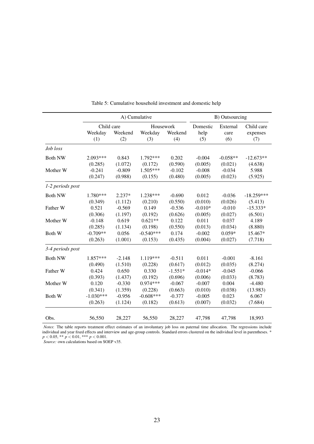|                  | A) Cumulative |          |             |           | B) Outsourcing |            |              |
|------------------|---------------|----------|-------------|-----------|----------------|------------|--------------|
|                  | Child care    |          | Housework   |           | Domestic       | External   | Child care   |
|                  | Weekday       | Weekend  | Weekday     | Weekend   | help           | care       | expenses     |
|                  | (1)           | (2)      | (3)         | (4)       | (5)            | (6)        | (7)          |
| Job loss         |               |          |             |           |                |            |              |
| <b>Both NW</b>   | $2.093***$    | 0.843    | 1.792***    | 0.202     | $-0.004$       | $-0.058**$ | $-12.673**$  |
|                  | (0.285)       | (1.072)  | (0.172)     | (0.590)   | (0.005)        | (0.021)    | (4.638)      |
| Mother W         | $-0.241$      | $-0.809$ | 1.505***    | $-0.102$  | $-0.008$       | $-0.034$   | 5.988        |
|                  | (0.247)       | (0.988)  | (0.155)     | (0.480)   | (0.005)        | (0.023)    | (5.925)      |
| 1-2 periods post |               |          |             |           |                |            |              |
| <b>Both NW</b>   | 1.780***      | $2.237*$ | $1.238***$  | $-0.690$  | 0.012          | $-0.036$   | $-18.259***$ |
|                  | (0.349)       | (1.112)  | (0.210)     | (0.550)   | (0.010)        | (0.026)    | (5.413)      |
| Father W         | 0.521         | $-0.569$ | 0.149       | $-0.536$  | $-0.010*$      | $-0.010$   | $-15.333*$   |
|                  | (0.306)       | (1.197)  | (0.192)     | (0.626)   | (0.005)        | (0.027)    | (6.501)      |
| Mother W         | $-0.148$      | 0.619    | $0.621**$   | 0.122     | 0.011          | 0.037      | 4.189        |
|                  | (0.285)       | (1.134)  | (0.198)     | (0.550)   | (0.013)        | (0.034)    | (8.880)      |
| Both W           | $-0.709**$    | 0.056    | $-0.540***$ | 0.174     | $-0.002$       | $0.059*$   | 15.467*      |
|                  | (0.263)       | (1.001)  | (0.153)     | (0.435)   | (0.004)        | (0.027)    | (7.718)      |
| 3-4 periods post |               |          |             |           |                |            |              |
| <b>Both NW</b>   | $1.857***$    | $-2.148$ | 1.119***    | $-0.511$  | 0.011          | $-0.001$   | $-8.161$     |
|                  | (0.490)       | (1.510)  | (0.228)     | (0.617)   | (0.012)        | (0.035)    | (8.274)      |
| Father W         | 0.424         | 0.650    | 0.330       | $-1.551*$ | $-0.014*$      | $-0.045$   | $-0.066$     |
|                  | (0.393)       | (1.437)  | (0.192)     | (0.696)   | (0.006)        | (0.033)    | (8.783)      |
| Mother W         | 0.120         | $-0.330$ | $0.974***$  | $-0.067$  | $-0.007$       | 0.004      | $-4.480$     |
|                  | (0.341)       | (1.359)  | (0.228)     | (0.663)   | (0.010)        | (0.038)    | (13.983)     |
| Both W           | $-1.030***$   | $-0.956$ | $-0.608***$ | $-0.377$  | $-0.005$       | 0.023      | 6.067        |
|                  | (0.263)       | (1.124)  | (0.182)     | (0.613)   | (0.007)        | (0.032)    | (7.684)      |
| Obs.             | 56,550        | 28,227   | 56,550      | 28,227    | 47,798         | 47,798     | 18,993       |

Table 5: Cumulative household investment and domestic help

*Notes*: The table reports treatment effect estimates of an involuntary job loss on paternal time allocation. The regressions include individual and year fixed effects and interview and age-group controls. Standard errors clustered on the individual level in parentheses. \* *p* < 0.05, \*\* *p* < 0.01, \*\*\* *p* < 0.001.

*Source:* own calculations based on SOEP v35.

<span id="page-25-0"></span> $\overline{a}$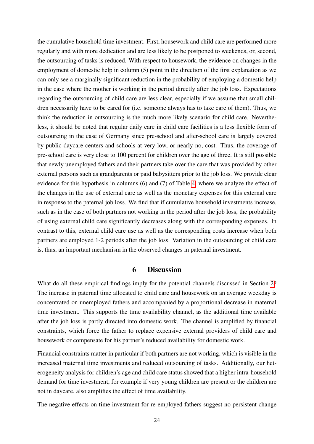the cumulative household time investment. First, housework and child care are performed more regularly and with more dedication and are less likely to be postponed to weekends, or, second, the outsourcing of tasks is reduced. With respect to housework, the evidence on changes in the employment of domestic help in column (5) point in the direction of the first explanation as we can only see a marginally significant reduction in the probability of employing a domestic help in the case where the mother is working in the period directly after the job loss. Expectations regarding the outsourcing of child care are less clear, especially if we assume that small children necessarily have to be cared for (i.e. someone always has to take care of them). Thus, we think the reduction in outsourcing is the much more likely scenario for child care. Nevertheless, it should be noted that regular daily care in child care facilities is a less flexible form of outsourcing in the case of Germany since pre-school and after-school care is largely covered by public daycare centers and schools at very low, or nearly no, cost. Thus, the coverage of pre-school care is very close to 100 percent for children over the age of three. It is still possible that newly unemployed fathers and their partners take over the care that was provided by other external persons such as grandparents or paid babysitters prior to the job loss. We provide clear evidence for this hypothesis in columns (6) and (7) of Table [4,](#page-23-0) where we analyze the effect of the changes in the use of external care as well as the monetary expenses for this external care in response to the paternal job loss. We find that if cumulative household investments increase, such as in the case of both partners not working in the period after the job loss, the probability of using external child care significantly decreases along with the corresponding expenses. In contrast to this, external child care use as well as the corresponding costs increase when both partners are employed 1-2 periods after the job loss. Variation in the outsourcing of child care is, thus, an important mechanism in the observed changes in paternal investment.

### 6 Discussion

<span id="page-26-0"></span>What do all these empirical findings imply for the potential channels discussed in Section [2?](#page-5-1) The increase in paternal time allocated to child care and housework on an average weekday is concentrated on unemployed fathers and accompanied by a proportional decrease in maternal time investment. This supports the time availability channel, as the additional time available after the job loss is partly directed into domestic work. The channel is amplified by financial constraints, which force the father to replace expensive external providers of child care and housework or compensate for his partner's reduced availability for domestic work.

Financial constraints matter in particular if both partners are not working, which is visible in the increased maternal time investments and reduced outsourcing of tasks. Additionally, our heterogeneity analysis for children's age and child care status showed that a higher intra-household demand for time investment, for example if very young children are present or the children are not in daycare, also amplifies the effect of time availability.

The negative effects on time investment for re-employed fathers suggest no persistent change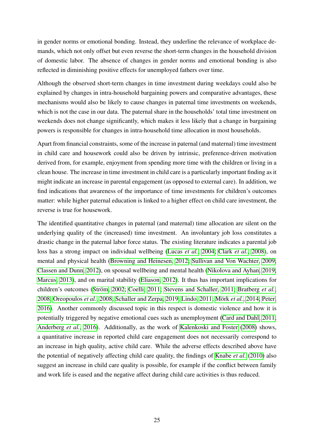in gender norms or emotional bonding. Instead, they underline the relevance of workplace demands, which not only offset but even reverse the short-term changes in the household division of domestic labor. The absence of changes in gender norms and emotional bonding is also reflected in diminishing positive effects for unemployed fathers over time.

Although the observed short-term changes in time investment during weekdays could also be explained by changes in intra-household bargaining powers and comparative advantages, these mechanisms would also be likely to cause changes in paternal time investments on weekends, which is not the case in our data. The paternal share in the households' total time investment on weekends does not change significantly, which makes it less likely that a change in bargaining powers is responsible for changes in intra-household time allocation in most households.

Apart from financial constraints, some of the increase in paternal (and maternal) time investment in child care and housework could also be driven by intrinsic, preference-driven motivation derived from, for example, enjoyment from spending more time with the children or living in a clean house. The increase in time investment in child care is a particularly important finding as it might indicate an increase in parental engagement (as opposed to external care). In addition, we find indications that awareness of the importance of time investments for children's outcomes matter: while higher paternal education is linked to a higher effect on child care investment, the reverse is true for housework.

The identified quantitative changes in paternal (and maternal) time allocation are silent on the underlying quality of the (increased) time investment. An involuntary job loss constitutes a drastic change in the paternal labor force status. The existing literature indicates a parental job loss has a strong impact on individual wellbeing [\(Lucas](#page-32-18) *et al.*, [2004;](#page-32-18) [Clark](#page-31-15) *et al.*, [2008\)](#page-31-15), on mental and physical health [\(Browning and Heinesen, 2012;](#page-30-18) [Sullivan and Von Wachter, 2009;](#page-34-10) [Classen and Dunn, 2012\)](#page-31-17), on spousal wellbeing and mental health [\(Nikolova and Ayhan, 2019;](#page-33-16) [Marcus, 2013\)](#page-33-17), and on marital stability [\(Eliason, 2012\)](#page-31-18). It thus has important implications for children's outcomes [\(Ström, 2002;](#page-34-11) [Coelli, 2011;](#page-31-19) [Stevens and Schaller, 2011;](#page-34-12) [Bratberg](#page-30-19) *et al.*, [2008;](#page-30-19) [Oreopoulos](#page-33-18) *et al.*, [2008;](#page-33-18) [Schaller and Zerpa, 2019;](#page-33-19) [Lindo, 2011;](#page-32-19) [Mörk](#page-33-20) *et al.*, [2014;](#page-33-20) [Peter,](#page-33-21) [2016\)](#page-33-21). Another commonly discussed topic in this respect is domestic violence and how it is potentially triggered by negative emotional cues such as unemployment [\(Card and Dahl, 2011;](#page-31-20) [Anderberg](#page-30-20) *et al.*, [2016\)](#page-30-20). Additionally, as the work of [Kalenkoski and Foster](#page-32-7) [\(2008\)](#page-32-7) shows, a quantitative increase in reported child care engagement does not necessarily correspond to an increase in high quality, active child care. While the adverse effects described above have the potential of negatively affecting child care quality, the findings of [Knabe](#page-32-16) *et al.* [\(2010\)](#page-32-16) also suggest an increase in child care quality is possible, for example if the conflict between family and work life is eased and the negative affect during child care activities is thus reduced.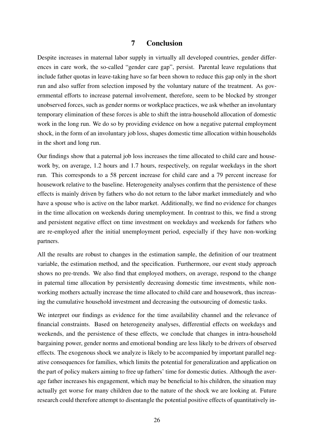## 7 Conclusion

Despite increases in maternal labor supply in virtually all developed countries, gender differences in care work, the so-called "gender care gap", persist. Parental leave regulations that include father quotas in leave-taking have so far been shown to reduce this gap only in the short run and also suffer from selection imposed by the voluntary nature of the treatment. As governmental efforts to increase paternal involvement, therefore, seem to be blocked by stronger unobserved forces, such as gender norms or workplace practices, we ask whether an involuntary temporary elimination of these forces is able to shift the intra-household allocation of domestic work in the long run. We do so by providing evidence on how a negative paternal employment shock, in the form of an involuntary job loss, shapes domestic time allocation within households in the short and long run.

Our findings show that a paternal job loss increases the time allocated to child care and housework by, on average, 1.2 hours and 1.7 hours, respectively, on regular weekdays in the short run. This corresponds to a 58 percent increase for child care and a 79 percent increase for housework relative to the baseline. Heterogeneity analyses confirm that the persistence of these effects is mainly driven by fathers who do not return to the labor market immediately and who have a spouse who is active on the labor market. Additionally, we find no evidence for changes in the time allocation on weekends during unemployment. In contrast to this, we find a strong and persistent negative effect on time investment on weekdays and weekends for fathers who are re-employed after the initial unemployment period, especially if they have non-working partners.

All the results are robust to changes in the estimation sample, the definition of our treatment variable, the estimation method, and the specification. Furthermore, our event study approach shows no pre-trends. We also find that employed mothers, on average, respond to the change in paternal time allocation by persistently decreasing domestic time investments, while nonworking mothers actually increase the time allocated to child care and housework, thus increasing the cumulative household investment and decreasing the outsourcing of domestic tasks.

We interpret our findings as evidence for the time availability channel and the relevance of financial constraints. Based on heterogeneity analyses, differential effects on weekdays and weekends, and the persistence of these effects, we conclude that changes in intra-household bargaining power, gender norms and emotional bonding are less likely to be drivers of observed effects. The exogenous shock we analyze is likely to be accompanied by important parallel negative consequences for families, which limits the potential for generalization and application on the part of policy makers aiming to free up fathers' time for domestic duties. Although the average father increases his engagement, which may be beneficial to his children, the situation may actually get worse for many children due to the nature of the shock we are looking at. Future research could therefore attempt to disentangle the potential positive effects of quantitatively in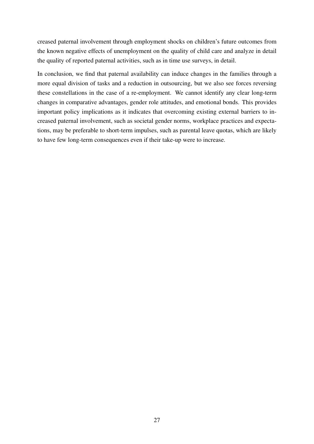creased paternal involvement through employment shocks on children's future outcomes from the known negative effects of unemployment on the quality of child care and analyze in detail the quality of reported paternal activities, such as in time use surveys, in detail.

In conclusion, we find that paternal availability can induce changes in the families through a more equal division of tasks and a reduction in outsourcing, but we also see forces reversing these constellations in the case of a re-employment. We cannot identify any clear long-term changes in comparative advantages, gender role attitudes, and emotional bonds. This provides important policy implications as it indicates that overcoming existing external barriers to increased paternal involvement, such as societal gender norms, workplace practices and expectations, may be preferable to short-term impulses, such as parental leave quotas, which are likely to have few long-term consequences even if their take-up were to increase.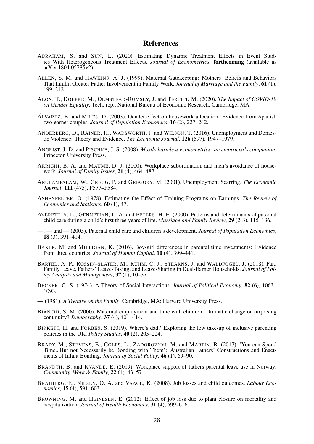#### References

- <span id="page-30-17"></span>ABRAHAM, S. and SUN, L. (2020). Estimating Dynamic Treatment Effects in Event Studies With Heterogeneous Treatment Effects. *Journal of Econometrics*, forthcoming (available as arXiv:1804.05785v2).
- <span id="page-30-7"></span>ALLEN, S. M. and HAWKINS, A. J. (1999). Maternal Gatekeeping: Mothers' Beliefs and Behaviors That Inhibit Greater Father Involvement in Family Work. *Journal of Marriage and the Family*, 61 (1), 199–212.
- <span id="page-30-8"></span>ALON, T., DOEPKE, M., OLMSTEAD-RUMSEY, J. and TERTILT, M. (2020). *The Impact of COVID-19 on Gender Equality*. Tech. rep., National Bureau of Economic Research, Cambridge, MA.
- <span id="page-30-6"></span>ÁLVAREZ, B. and MILES, D. (2003). Gender effect on housework allocation: Evidence from Spanish two-earner couples. *Journal of Population Economics*, 16 (2), 227–242.
- <span id="page-30-20"></span>ANDERBERG, D., RAINER, H., WADSWORTH, J. and WILSON, T. (2016). Unemployment and Domestic Violence: Theory and Evidence. *The Economic Journal*, 126 (597), 1947–1979.
- <span id="page-30-16"></span>ANGRIST, J. D. and PISCHKE, J. S. (2008). *Mostly harmless econometrics: an empiricist's companion*. Princeton University Press.
- <span id="page-30-12"></span>ARRIGHI, B. A. and MAUME, D. J. (2000). Workplace subordination and men's avoidance of housework. *Journal of Family Issues*, 21 (4), 464–487.
- <span id="page-30-11"></span>ARULAMPALAM, W., GREGG, P. and GREGORY, M. (2001). Unemployment Scarring. *The Economic Journal*, 111 (475), F577–F584.
- <span id="page-30-14"></span>ASHENFELTER, O. (1978). Estimating the Effect of Training Programs on Earnings. *The Review of Economics and Statistics*, 60 (1), 47.
- <span id="page-30-5"></span>AVERETT, S. L., GENNETIAN, L. A. and PETERS, H. E. (2000). Patterns and determinants of paternal child care during a child's first three years of life. *Marriage and Family Review*, 29 (2-3), 115–136.
- <span id="page-30-1"></span>—, — and — (2005). Paternal child care and children's development. *Journal of Population Economics*, 18 (3), 391–414.
- <span id="page-30-15"></span>BAKER, M. and MILLIGAN, K. (2016). Boy-girl differences in parental time investments: Evidence from three countries. *Journal of Human Capital*, 10 (4), 399–441.
- <span id="page-30-2"></span>BARTEL, A. P., ROSSIN-SLATER, M., RUHM, C. J., STEARNS, J. and WALDFOGEL, J. (2018). Paid Family Leave, Fathers' Leave-Taking, and Leave-Sharing in Dual-Earner Households. *Journal of Policy Analysis and Management*, 37 (1), 10–37.
- <span id="page-30-9"></span>BECKER, G. S. (1974). A Theory of Social Interactions. *Journal of Political Economy*, 82 (6), 1063– 1093.
- <span id="page-30-10"></span>— (1981). *A Treatise on the Family*. Cambridge, MA: Harvard University Press.
- <span id="page-30-0"></span>BIANCHI, S. M. (2000). Maternal employment and time with children: Dramatic change or surprising continuity? *Demography*, 37 (4), 401–414.
- <span id="page-30-3"></span>BIRKETT, H. and FORBES, S. (2019). Where's dad? Exploring the low take-up of inclusive parenting policies in the UK. *Policy Studies*, 40 (2), 205–224.
- <span id="page-30-13"></span>BRADY, M., STEVENS, E., COLES, L., ZADOROZNYJ, M. and MARTIN, B. (2017). 'You can Spend Time...But not Necessarily be Bonding with Them': Australian Fathers' Constructions and Enactments of Infant Bonding. *Journal of Social Policy*, 46 (1), 69–90.
- <span id="page-30-4"></span>BRANDTH, B. and KVANDE, E. (2019). Workplace support of fathers parental leave use in Norway. *Community, Work & Family*, 22 (1), 43–57.
- <span id="page-30-19"></span>BRATBERG, E., NILSEN, O. A. and VAAGE, K. (2008). Job losses and child outcomes. *Labour Economics*, 15 (4), 591–603.
- <span id="page-30-18"></span>BROWNING, M. and HEINESEN, E. (2012). Effect of job loss due to plant closure on mortality and hospitalization. *Journal of Health Economics*, 31 (4), 599–616.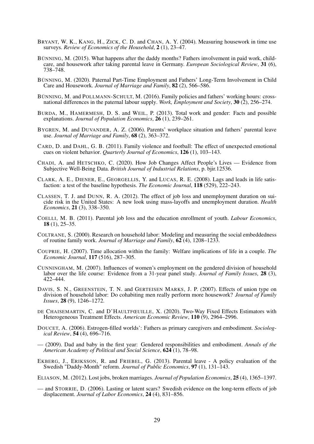- <span id="page-31-14"></span>BRYANT, W. K., KANG, H., ZICK, C. D. and CHAN, A. Y. (2004). Measuring housework in time use surveys. *Review of Economics of the Household*, 2 (1), 23–47.
- <span id="page-31-3"></span>BÜNNING, M. (2015). What happens after the daddy months? Fathers involvement in paid work, childcare, and housework after taking parental leave in Germany. *European Sociological Review*, 31 (6), 738–748.
- <span id="page-31-1"></span>BÜNNING, M. (2020). Paternal Part-Time Employment and Fathers' Long-Term Involvement in Child Care and Housework. *Journal of Marriage and Family*, 82 (2), 566–586.
- <span id="page-31-2"></span>BÜNNING, M. and POLLMANN-SCHULT, M. (2016). Family policies and fathers' working hours: crossnational differences in the paternal labour supply. *Work, Employment and Society*, 30 (2), 256–274.
- <span id="page-31-6"></span>BURDA, M., HAMERMESH, D. S. and WEIL, P. (2013). Total work and gender: Facts and possible explanations. *Journal of Population Economics*, 26 (1), 239–261.
- <span id="page-31-5"></span>BYGREN, M. and DUVANDER, A. Z. (2006). Parents' workplace situation and fathers' parental leave use. *Journal of Marriage and Family*, 68 (2), 363–372.
- <span id="page-31-20"></span>CARD, D. and DAHL, G. B. (2011). Family violence and football: The effect of unexpected emotional cues on violent behavior. *Quarterly Journal of Economics*, 126 (1), 103–143.
- <span id="page-31-7"></span>CHADI, A. and HETSCHKO, C. (2020). How Job Changes Affect People's Lives — Evidence from Subjective Well-Being Data. *British Journal of Industrial Relations*, p. bjir.12536.
- <span id="page-31-15"></span>CLARK, A. E., DIENER, E., GEORGELLIS, Y. and LUCAS, R. E. (2008). Lags and leads in life satisfaction: a test of the baseline hypothesis. *The Economic Journal*, 118 (529), 222–243.
- <span id="page-31-17"></span>CLASSEN, T. J. and DUNN, R. A. (2012). The effect of job loss and unemployment duration on suicide risk in the United States: A new look using mass-layoffs and unemployment duration. *Health Economics*, 21 (3), 338–350.
- <span id="page-31-19"></span>COELLI, M. B. (2011). Parental job loss and the education enrollment of youth. *Labour Economics*, 18 (1), 25–35.
- <span id="page-31-0"></span>COLTRANE, S. (2000). Research on household labor: Modeling and measuring the social embeddedness of routine family work. *Journal of Marriage and Family*, 62 (4), 1208–1233.
- <span id="page-31-8"></span>COUPRIE, H. (2007). Time allocation within the family: Welfare implications of life in a couple. *The Economic Journal*, 117 (516), 287–305.
- <span id="page-31-10"></span>CUNNINGHAM, M. (2007). Influences of women's employment on the gendered division of household labor over the life course: Evidence from a 31-year panel study. *Journal of Family Issues*, 28 (3), 422–444.
- <span id="page-31-11"></span>DAVIS, S. N., GREENSTEIN, T. N. and GERTEISEN MARKS, J. P. (2007). Effects of union type on division of household labor: Do cohabiting men really perform more housework? *Journal of Family Issues*, 28 (9), 1246–1272.
- <span id="page-31-16"></span>DE CHAISEMARTIN, C. and D'HAULTFŒUILLE, X. (2020). Two-Way Fixed Effects Estimators with Heterogeneous Treatment Effects. *American Economic Review*, 110 (9), 2964–2996.
- <span id="page-31-12"></span>DOUCET, A. (2006). Estrogen-filled worlds': Fathers as primary caregivers and embodiment. *Sociological Review*, 54 (4), 696–716.
- <span id="page-31-13"></span>— (2009). Dad and baby in the first year: Gendered responsibilities and embodiment. *Annals of the American Academy of Political and Social Science*, 624 (1), 78–98.
- <span id="page-31-4"></span>EKBERG, J., ERIKSSON, R. and FRIEBEL, G. (2013). Parental leave - A policy evaluation of the Swedish "Daddy-Month" reform. *Journal of Public Economics*, 97 (1), 131–143.

<span id="page-31-18"></span>ELIASON, M. (2012). Lost jobs, broken marriages. *Journal of Population Economics*, 25 (4), 1365–1397.

<span id="page-31-9"></span>— and STORRIE, D. (2006). Lasting or latent scars? Swedish evidence on the long-term effects of job displacement. *Journal of Labor Economics*, 24 (4), 831–856.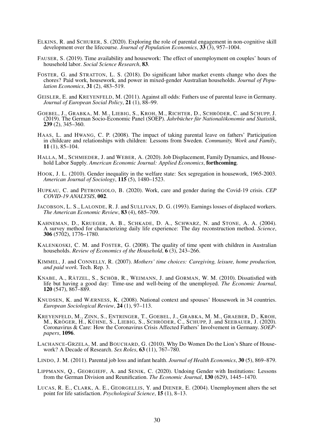- <span id="page-32-1"></span>ELKINS, R. and SCHURER, S. (2020). Exploring the role of parental engagement in non-cognitive skill development over the lifecourse. *Journal of Population Economics*, 33 (3), 957–1004.
- <span id="page-32-8"></span>FAUSER, S. (2019). Time availability and housework: The effect of unemployment on couples' hours of household labor. *Social Science Research*, 83.
- <span id="page-32-6"></span>FOSTER, G. and STRATTON, L. S. (2018). Do significant labor market events change who does the chores? Paid work, housework, and power in mixed-gender Australian households. *Journal of Population Economics*, 31 (2), 483–519.
- <span id="page-32-2"></span>GEISLER, E. and KREYENFELD, M. (2011). Against all odds: Fathers use of parental leave in Germany. *Journal of European Social Policy*, 21 (1), 88–99.
- <span id="page-32-17"></span>GOEBEL, J., GRABKA, M. M., LIEBIG, S., KROH, M., RICHTER, D., SCHRÖDER, C. and SCHUPP, J. (2019). The German Socio-Economic Panel (SOEP). *Jahrbücher für Nationalökonomie und Statistik*,  $239(2)$ , 345–360.
- <span id="page-32-14"></span>HAAS, L. and HWANG, C. P. (2008). The impact of taking parental leave on fathers' Participation in childcare and relationships with children: Lessons from Sweden. *Community, Work and Family*, 11 (1), 85–104.
- <span id="page-32-10"></span>HALLA, M., SCHMIEDER, J. and WEBER, A. (2020). Job Displacement, Family Dynamics, and Household Labor Supply. *American Economic Journal: Applied Economics*, forthcoming.
- <span id="page-32-0"></span>HOOK, J. L. (2010). Gender inequality in the welfare state: Sex segregation in housework, 1965-2003. *American Journal of Sociology*, 115 (5), 1480–1523.
- <span id="page-32-5"></span>HUPKAU, C. and PETRONGOLO, B. (2020). Work, care and gender during the Covid-19 crisis. *CEP COVID-19 ANALYSIS*, 002.
- <span id="page-32-12"></span>JACOBSON, L. S., LALONDE, R. J. and SULLIVAN, D. G. (1993). Earnings losses of displaced workers. *The American Economic Review*, 83 (4), 685–709.
- <span id="page-32-15"></span>KAHNEMAN, D., KRUEGER, A. B., SCHKADE, D. A., SCHWARZ, N. and STONE, A. A. (2004). A survey method for characterizing daily life experience: The day reconstruction method. *Science*, 306 (5702), 1776–1780.
- <span id="page-32-7"></span>KALENKOSKI, C. M. and FOSTER, G. (2008). The quality of time spent with children in Australian households. *Review of Economics of the Household*, 6 (3), 243–266.
- <span id="page-32-11"></span>KIMMEL, J. and CONNELLY, R. (2007). *Mothers' time choices: Caregiving, leisure, home production, and paid work*. Tech. Rep. 3.
- <span id="page-32-16"></span>KNABE, A., RÄTZEL, S., SCHÖB, R., WEIMANN, J. and GORMAN, W. M. (2010). Dissatisfied with life but having a good day: Time-use and well-being of the unemployed. *The Economic Journal*, 120 (547), 867–889.
- <span id="page-32-13"></span>KNUDSEN, K. and WÆRNESS, K. (2008). National context and spouses' Housework in 34 countries. *European Sociological Review*, 24 (1), 97–113.
- <span id="page-32-4"></span>KREYENFELD, M., ZINN, S., ENTRINGER, T., GOEBEL, J., GRABKA, M. M., GRAEBER, D., KROH, M., KRÖGER, H., KÜHNE, S., LIEBIG, S., SCHRÖDER, C., SCHUPP, J. and SEEBAUER, J. (2020). Coronavirus & Care: How the Coronavirus Crisis Affected Fathers' Involvement in Germany. *SOEPpapers*, 1096.
- <span id="page-32-9"></span>LACHANCE-GRZELA, M. and BOUCHARD, G. (2010). Why Do Women Do the Lion's Share of Housework? A Decade of Research. *Sex Roles*, 63 (11), 767–780.
- <span id="page-32-19"></span>LINDO, J. M. (2011). Parental job loss and infant health. *Journal of Health Economics*, 30 (5), 869–879.
- <span id="page-32-3"></span>LIPPMANN, Q., GEORGIEFF, A. and SENIK, C. (2020). Undoing Gender with Institutions: Lessons from the German Division and Reunification. *The Economic Journal*, 130 (629), 1445–1470.
- <span id="page-32-18"></span>LUCAS, R. E., CLARK, A. E., GEORGELLIS, Y. and DIENER, E. (2004). Unemployment alters the set point for life satisfaction. *Psychological Science*, 15 (1), 8–13.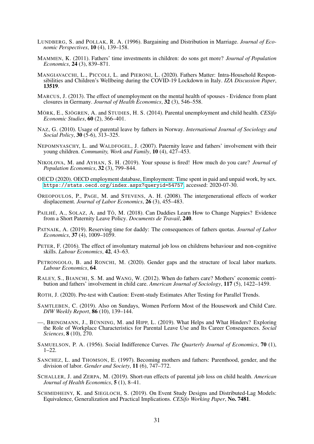- <span id="page-33-12"></span>LUNDBERG, S. and POLLAK, R. A. (1996). Bargaining and Distribution in Marriage. *Journal of Economic Perspectives*, 10 (4), 139–158.
- <span id="page-33-14"></span>MAMMEN, K. (2011). Fathers' time investments in children: do sons get more? *Journal of Population Economics*, 24 (3), 839–871.
- <span id="page-33-9"></span>MANGIAVACCHI, L., PICCOLI, L. and PIERONI, L. (2020). Fathers Matter: Intra-Household Responsibilities and Children's Wellbeing during the COVID-19 Lockdown in Italy. *IZA Discussion Paper*, 13519.
- <span id="page-33-17"></span>MARCUS, J. (2013). The effect of unemployment on the mental health of spouses - Evidence from plant closures in Germany. *Journal of Health Economics*, 32 (3), 546–558.
- <span id="page-33-20"></span>MÖRK, E., SJÖGREN, A. and STUDIES, H. S. (2014). Parental unemployment and child health. *CESifo Economic Studies*, 60 (2), 366–401.
- <span id="page-33-8"></span>NAZ, G. (2010). Usage of parental leave by fathers in Norway. *International Journal of Sociology and Social Policy*, 30 (5-6), 313–325.
- <span id="page-33-6"></span>NEPOMNYASCHY, L. and WALDFOGEL, J. (2007). Paternity leave and fathers' involvement with their young children. *Community, Work and Family*, 10 (4), 427–453.
- <span id="page-33-16"></span>NIKOLOVA, M. and AYHAN, S. H. (2019). Your spouse is fired! How much do you care? *Journal of Population Economics*, 32 (3), 799–844.
- <span id="page-33-0"></span>OECD (2020). OECD employment database, Employment: Time spent in paid and unpaid work, by sex. <https://stats.oecd.org/index.aspx?queryid=54757>, accessed: 2020-07-30.
- <span id="page-33-18"></span>OREOPOULOS, P., PAGE, M. and STEVENS, A. H. (2008). The intergenerational effects of worker displacement. *Journal of Labor Economics*, 26 (3), 455–483.
- <span id="page-33-5"></span>PAILHÉ, A., SOLAZ, A. and TÔ, M. (2018). Can Daddies Learn How to Change Nappies? Evidence from a Short Paternity Leave Policy. *Documents de Travail*, 240.
- <span id="page-33-4"></span>PATNAIK, A. (2019). Reserving time for daddy: The consequences of fathers quotas. *Journal of Labor Economics*, 37 (4), 1009–1059.
- <span id="page-33-21"></span>PETER, F. (2016). The effect of involuntary maternal job loss on childrens behaviour and non-cognitive skills. *Labour Economics*, 42, 43–63.
- <span id="page-33-2"></span>PETRONGOLO, B. and RONCHI, M. (2020). Gender gaps and the structure of local labor markets. *Labour Economics*, 64.
- <span id="page-33-10"></span>RALEY, S., BIANCHI, S. M. and WANG, W. (2012). When do fathers care? Mothers' economic contribution and fathers' involvement in child care. *American Journal of Sociology*, 117 (5), 1422–1459.
- <span id="page-33-15"></span>ROTH, J. (2020). Pre-test with Caution: Event-study Estimates After Testing for Parallel Trends.
- <span id="page-33-1"></span>SAMTLEBEN, C. (2019). Also on Sundays, Women Perform Most of the Housework and Child Care. *DIW Weekly Report*, 86 (10), 139–144.
- <span id="page-33-7"></span>—, BRINGMANN, J., BÜNNING, M. and HIPP, L. (2019). What Helps and What Hinders? Exploring the Role of Workplace Characteristics for Parental Leave Use and Its Career Consequences. *Social Sciences*, 8 (10), 270.
- <span id="page-33-11"></span>SAMUELSON, P. A. (1956). Social Indifference Curves. *The Quarterly Journal of Economics*, 70 (1),  $1-22.$
- <span id="page-33-3"></span>SANCHEZ, L. and THOMSON, E. (1997). Becoming mothers and fathers: Parenthood, gender, and the division of labor. *Gender and Society*, 11 (6), 747–772.
- <span id="page-33-19"></span>SCHALLER, J. and ZERPA, M. (2019). Short-run effects of parental job loss on child health. *American Journal of Health Economics*, 5 (1), 8–41.
- <span id="page-33-13"></span>SCHMIDHEINY, K. and SIEGLOCH, S. (2019). On Event Study Designs and Distributed-Lag Models: Equivalence, Generalization and Practical Implications. *CESifo Working Paper*, No. 7481.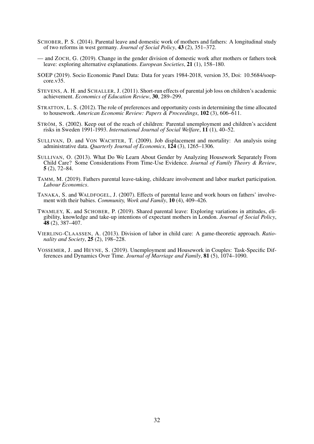- <span id="page-34-2"></span>SCHOBER, P. S. (2014). Parental leave and domestic work of mothers and fathers: A longitudinal study of two reforms in west germany. *Journal of Social Policy*, 43 (2), 351–372.
- <span id="page-34-3"></span>— and ZOCH, G. (2019). Change in the gender division of domestic work after mothers or fathers took leave: exploring alternative explanations. *European Societies*, 21 (1), 158–180.
- <span id="page-34-7"></span>SOEP (2019). Socio Economic Panel Data: Data for years 1984-2018, version 35, Doi: 10.5684/soepcore.v35.
- <span id="page-34-12"></span>STEVENS, A. H. and SCHALLER, J. (2011). Short-run effects of parental job loss on children's academic achievement. *Economics of Education Review*, 30, 289–299.
- <span id="page-34-6"></span>STRATTON, L. S. (2012). The role of preferences and opportunity costs in determining the time allocated to housework. *American Economic Review: Papers & Proceedings*, 102 (3), 606–611.
- <span id="page-34-11"></span>STRÖM, S. (2002). Keep out of the reach of children: Parental unemployment and children's accident risks in Sweden 1991-1993. *International Journal of Social Welfare*, 11 (1), 40–52.
- <span id="page-34-10"></span>SULLIVAN, D. and VON WACHTER, T. (2009). Job displacement and mortality: An analysis using administrative data. *Quarterly Journal of Economics*, 124 (3), 1265–1306.
- <span id="page-34-9"></span>SULLIVAN, O. (2013). What Do We Learn About Gender by Analyzing Housework Separately From Child Care? Some Considerations From Time-Use Evidence. *Journal of Family Theory & Review*, 5 (2), 72–84.
- <span id="page-34-1"></span>TAMM, M. (2019). Fathers parental leave-taking, childcare involvement and labor market participation. *Labour Economics*.
- <span id="page-34-0"></span>TANAKA, S. and WALDFOGEL, J. (2007). Effects of parental leave and work hours on fathers' involvement with their babies. *Community, Work and Family*, 10 (4), 409–426.
- <span id="page-34-4"></span>TWAMLEY, K. and SCHOBER, P. (2019). Shared parental leave: Exploring variations in attitudes, eligibility, knowledge and take-up intentions of expectant mothers in London. *Journal of Social Policy*, 48 (2), 387–407.
- <span id="page-34-5"></span>VIERLING-CLAASSEN, A. (2013). Division of labor in child care: A game-theoretic approach. *Rationality and Society*, 25 (2), 198–228.
- <span id="page-34-8"></span>VOSSEMER, J. and HEYNE, S. (2019). Unemployment and Housework in Couples: Task-Specific Differences and Dynamics Over Time. *Journal of Marriage and Family*, 81 (5), 1074–1090.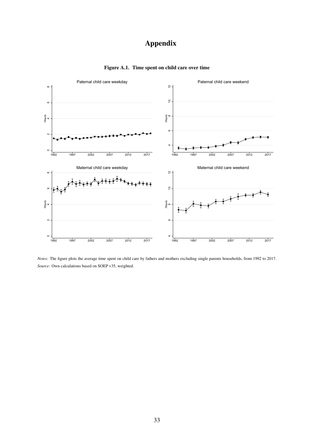## Appendix

<span id="page-35-0"></span>![](_page_35_Figure_1.jpeg)

Figure A.1. Time spent on child care over time

*Notes:* The figure plots the average time spent on child care by fathers and mothers excluding single parents households, from 1992 to 2017. *Source:* Own calculations based on SOEP v35, weighted.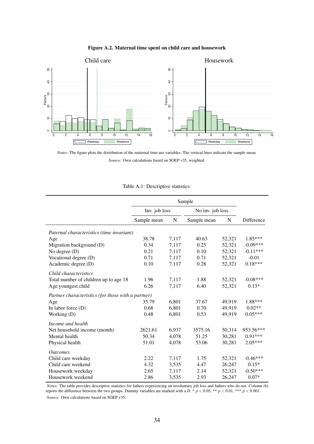![](_page_36_Figure_0.jpeg)

![](_page_36_Figure_1.jpeg)

*Notes:* The figure plots the distribution of the maternal time use variables. The vertical lines indicate the sample mean. *Source:* Own calculations based on SOEP v35, weighted.

|  | Table A.1: Descriptive statistics |  |
|--|-----------------------------------|--|
|--|-----------------------------------|--|

<span id="page-36-0"></span>

|                                                    | Inv. job loss |       | No inv. job loss |        |            |
|----------------------------------------------------|---------------|-------|------------------|--------|------------|
|                                                    | Sample mean   | N     | Sample mean      | N      | Difference |
| Paternal characteristics (time invariant)          |               |       |                  |        |            |
| Age                                                | 38.78         | 7,117 | 40.63            | 52,321 | 1.85***    |
| Migration background (D)                           | 0.34          | 7,117 | 0.25             | 52,321 | $-0.09***$ |
| No degree $(D)$                                    | 0.21          | 7,117 | 0.10             | 52,321 | $-0.11***$ |
| Vocational degree (D)                              | 0.71          | 7,117 | 0.71             | 52,321 | $-0.01$    |
| Academic degree (D)                                | 0.10          | 7,117 | 0.28             | 52,321 | $0.18***$  |
| Child characteristics                              |               |       |                  |        |            |
| Total number of children up to age 18              | 1.96          | 7,117 | 1.88             | 52,321 | $-0.08***$ |
| Age youngest child                                 | 6.26          | 7,117 | 6.40             | 52,321 | $0.13*$    |
| Partner characteristics (for those with a partner) |               |       |                  |        |            |
| Age                                                | 35.79         | 6,801 | 37.67            | 49,919 | 1.88***    |
| In labor force $(D)$                               | 0.68          | 6,801 | 0.70             | 49,919 | $0.02**$   |
| Working (D)                                        | 0.48          | 6,801 | 0.53             | 49,919 | $0.05***$  |
| Income and health                                  |               |       |                  |        |            |
| Net household income (month)                       | 2621.61       | 6,937 | 3575.16          | 50,314 | 953.56***  |
| Mental health                                      | 50.34         | 4,078 | 51.25            | 30,281 | $0.91***$  |
| Physical health                                    | 51.01         | 4,078 | 53.06            | 30,281 | $2.05***$  |
| <b>Outcomes</b>                                    |               |       |                  |        |            |
| Child care weekday                                 | 2.22          | 7,117 | 1.75             | 52,321 | $-0.46***$ |
| Child care weekend                                 | 4.32          | 3,535 | 4.47             | 26,247 | $0.15*$    |
| Housework weekday                                  | 2.65          | 7,117 | 2.14             | 52,321 | $-0.50***$ |
| Housework weekend                                  | 2.86          | 3,535 | 2.93             | 26,247 | $0.07*$    |

*Notes:* The table provides descriptive statistics for fathers experiencing an involuntary job loss and fathers who do not. Column (6) reports the difference between the two groups. Dummy variables are marked with a  $D. * p < 0.05$ , \*\*  $p < 0.01$ , \*\*\*  $p < 0.001$ . *Source:* Own calculations based on SOEP v35.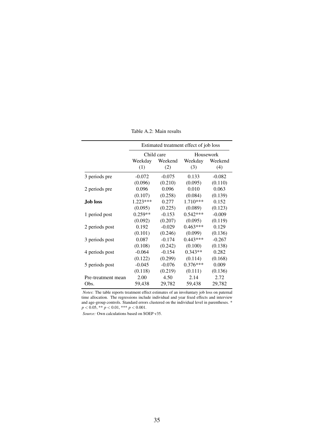Table A.2: Main results

<span id="page-37-0"></span>

|                    | Estimated treatment effect of job loss |            |            |          |  |  |
|--------------------|----------------------------------------|------------|------------|----------|--|--|
|                    |                                        | Child care | Housework  |          |  |  |
|                    | Weekday                                | Weekend    | Weekday    | Weekend  |  |  |
|                    | (1)                                    | (2)        | (3)        | (4)      |  |  |
| 3 periods pre      | $-0.072$                               | $-0.075$   | 0.133      | $-0.082$ |  |  |
|                    | (0.096)                                | (0.210)    | (0.095)    | (0.110)  |  |  |
| 2 periods pre      | 0.096                                  | 0.096      | 0.010      | 0.063    |  |  |
|                    | (0.107)                                | (0.258)    | (0.084)    | (0.139)  |  |  |
| <b>Job loss</b>    | $1.223***$                             | 0.277      | $1.710***$ | 0.152    |  |  |
|                    | (0.095)                                | (0.225)    | (0.089)    | (0.123)  |  |  |
| 1 period post      | $0.259**$                              | $-0.153$   | $0.542***$ | $-0.009$ |  |  |
|                    | (0.092)                                | (0.207)    | (0.095)    | (0.119)  |  |  |
| 2 periods post     | 0.192                                  | $-0.029$   | $0.463***$ | 0.129    |  |  |
|                    | (0.101)                                | (0.246)    | (0.099)    | (0.136)  |  |  |
| 3 periods post     | 0.087                                  | $-0.174$   | $0.443***$ | $-0.267$ |  |  |
|                    | (0.108)                                | (0.242)    | (0.100)    | (0.138)  |  |  |
| 4 periods post     | $-0.064$                               | $-0.154$   | $0.343**$  | 0.282    |  |  |
|                    | (0.122)                                | (0.299)    | (0.114)    | (0.168)  |  |  |
| 5 periods post     | $-0.045$                               | $-0.076$   | $0.376***$ | 0.009    |  |  |
|                    | (0.118)                                | (0.219)    | (0.111)    | (0.136)  |  |  |
| Pre-treatment mean | 2.00                                   | 4.50       | 2.14       | 2.72     |  |  |
| Obs.               | 59,438                                 | 29,782     | 59,438     | 29,782   |  |  |

*Notes*: The table reports treatment effect estimates of an involuntary job loss on paternal time allocation. The regressions include individual and year fixed effects and interview and age-group controls. Standard errors clustered on the individual level in parentheses. \* *p* < 0.05, \*\* *p* < 0.01, \*\*\* *p* < 0.001.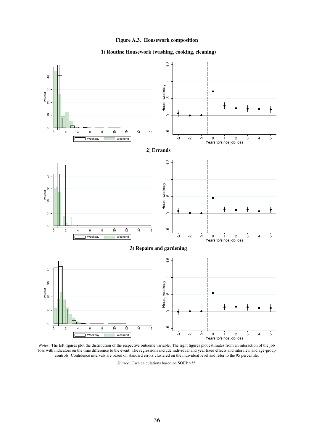![](_page_38_Figure_0.jpeg)

#### 1) Routine Housework (washing, cooking, cleaning)

<span id="page-38-0"></span>![](_page_38_Figure_2.jpeg)

*Notes:* The left figures plot the distribution of the respective outcome variable. The right figures plot estimates from an interaction of the job loss with indicators on the time difference to the event. The regressions include individual and year fixed effects and interview and age-group controls. Confidence intervals are based on standard errors clustered on the individual level and refer to the 95 percentile.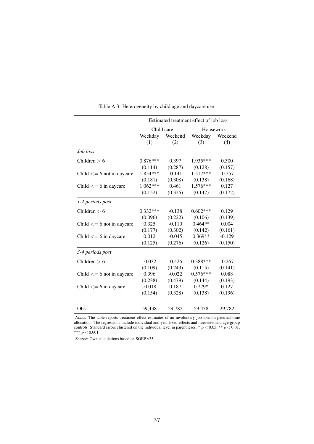<span id="page-39-0"></span>

|                               | Estimated treatment effect of job loss |            |            |           |  |
|-------------------------------|----------------------------------------|------------|------------|-----------|--|
|                               |                                        | Child care |            | Housework |  |
|                               | Weekday                                | Weekend    | Weekday    | Weekend   |  |
|                               | (1)                                    | (2)        | (3)        | (4)       |  |
| Job loss                      |                                        |            |            |           |  |
| Children $> 6$                | $0.876***$                             | 0.397      | $1.935***$ | 0.300     |  |
|                               | (0.114)                                | (0.287)    | (0.128)    | (0.157)   |  |
| Child $\leq$ 6 not in daycare | 1.854***                               | $-0.141$   | 1.517***   | $-0.257$  |  |
|                               | (0.181)                                | (0.308)    | (0.138)    | (0.168)   |  |
| Child $\leq$ = 6 in daycare   | 1.062***                               | 0.461      | 1.576***   | 0.127     |  |
|                               | (0.152)                                | (0.325)    | (0.147)    | (0.172)   |  |
| 1-2 periods post              |                                        |            |            |           |  |
| Children $> 6$                | $0.332***$                             | $-0.138$   | $0.602***$ | 0.129     |  |
|                               | (0.096)                                | (0.222)    | (0.106)    | (0.139)   |  |
| Child $\leq$ 6 not in daycare | 0.325                                  | $-0.110$   | $0.464**$  | 0.004     |  |
|                               | (0.177)                                | (0.302)    | (0.142)    | (0.161)   |  |
| Child $\leq$ = 6 in daycare   | 0.012                                  | $-0.045$   | 0.369**    | $-0.129$  |  |
|                               | (0.125)                                | (0.276)    | (0.126)    | (0.150)   |  |
| 3-4 periods post              |                                        |            |            |           |  |
| Children $> 6$                | $-0.032$                               | $-0.426$   | $0.388***$ | $-0.267$  |  |
|                               | (0.109)                                | (0.243)    | (0.115)    | (0.141)   |  |
| Child $\leq$ 6 not in daycare | 0.396                                  | $-0.022$   | $0.576***$ | 0.088     |  |
|                               | (0.238)                                | (0.479)    | (0.144)    | (0.193)   |  |
| Child $\leq$ = 6 in daycare   | $-0.018$                               | 0.187      | $0.279*$   | 0.127     |  |
|                               | (0.154)                                | (0.328)    | (0.138)    | (0.196)   |  |
|                               |                                        |            |            |           |  |
| Obs.                          | 59,438                                 | 29,782     | 59,438     | 29,782    |  |

Table A.3: Heterogeneity by child age and daycare use

*Notes*: The table reports treatment effect estimates of an involuntary job loss on paternal time allocation. The regressions include individual and year fixed effects and interview and age-group controls. Standard errors clustered on the individual level in parentheses.  $p < 0.05$ ,  $\frac{p}{p} < 0.01$ , \*\*\*  $p < 0.001$ .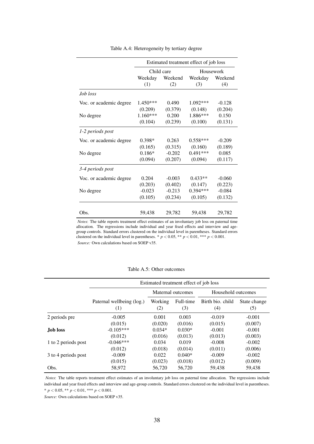<span id="page-40-0"></span>

|                         | Estimated treatment effect of job loss |                |                |                |  |
|-------------------------|----------------------------------------|----------------|----------------|----------------|--|
|                         | Child care                             |                | Housework      |                |  |
|                         | Weekday<br>(1)                         | Weekend<br>(2) | Weekday<br>(3) | Weekend<br>(4) |  |
| Job loss                |                                        |                |                |                |  |
| Voc. or academic degree | $1.450***$                             | 0.490          | $1.092***$     | $-0.128$       |  |
|                         | (0.209)                                | (0.379)        | (0.148)        | (0.204)        |  |
| No degree               | $1.160***$                             | 0.200          | 1.886***       | 0.150          |  |
|                         | (0.104)                                | (0.239)        | (0.100)        | (0.131)        |  |
| 1-2 periods post        |                                        |                |                |                |  |
| Voc. or academic degree | $0.398*$                               | 0.263          | $0.558***$     | $-0.209$       |  |
|                         | (0.165)                                | (0.315)        | (0.160)        | (0.189)        |  |
| No degree               | $0.186*$                               | $-0.202$       | $0.491***$     | 0.085          |  |
|                         | (0.094)                                | (0.207)        | (0.094)        | (0.117)        |  |
| 3-4 periods post        |                                        |                |                |                |  |
| Voc. or academic degree | 0.204                                  | $-0.003$       | $0.433**$      | $-0.060$       |  |
|                         | (0.203)                                | (0.402)        | (0.147)        | (0.223)        |  |
| No degree               | $-0.023$                               | $-0.213$       | $0.394***$     | $-0.084$       |  |
|                         | (0.105)                                | (0.234)        | (0.105)        | (0.132)        |  |
|                         |                                        |                |                |                |  |
| Obs.                    | 59,438                                 | 29,782         | 59,438         | 29,782         |  |

Table A.4: Heterogeneity by tertiary degree

*Notes*: The table reports treatment effect estimates of an involuntary job loss on paternal time allocation. The regressions include individual and year fixed effects and interview and agegroup controls. Standard errors clustered on the individual level in parentheses. Standard errors clustered on the individual level in parentheses. \*  $p < 0.05$ , \*\*  $p < 0.01$ , \*\*\*  $p < 0.001$ . *Source:* Own calculations based on SOEP v35.

Table A.5: Other outcomes

<span id="page-40-1"></span>

|                     |                                  |                | Estimated treatment effect of job loss |                         |                     |
|---------------------|----------------------------------|----------------|----------------------------------------|-------------------------|---------------------|
|                     |                                  |                | Maternal outcomes                      | Household outcomes      |                     |
|                     | Paternal wellbeing (log.)<br>(1) | Working<br>(2) | Full-time<br>(3)                       | Birth bio. child<br>(4) | State change<br>(5) |
| 2 periods pre       | $-0.005$                         | 0.001          | 0.003                                  | $-0.019$                | $-0.001$            |
|                     | (0.015)                          | (0.020)        | (0.016)                                | (0.015)                 | (0.007)             |
| Job loss            | $-0.105***$                      | $0.034*$       | $0.030*$                               | $-0.001$                | $-0.001$            |
|                     | (0.012)                          | (0.016)        | (0.013)                                | (0.013)                 | (0.003)             |
| 1 to 2 periods post | $-0.046***$                      | 0.034          | 0.019                                  | $-0.008$                | $-0.002$            |
|                     | (0.012)                          | (0.018)        | (0.014)                                | (0.011)                 | (0.006)             |
| 3 to 4 periods post | $-0.009$                         | 0.022          | $0.040*$                               | $-0.009$                | $-0.002$            |
|                     | (0.015)                          | (0.023)        | (0.018)                                | (0.012)                 | (0.009)             |
| Obs.                | 58,972                           | 56,720         | 56,720                                 | 59,438                  | 59,438              |

*Notes*: The table reports treatment effect estimates of an involuntary job loss on paternal time allocation. The regressions include individual and year fixed effects and interview and age-group controls. Standard errors clustered on the individual level in parentheses.

\* *p* < 0.05, \*\* *p* < 0.01, \*\*\* *p* < 0.001.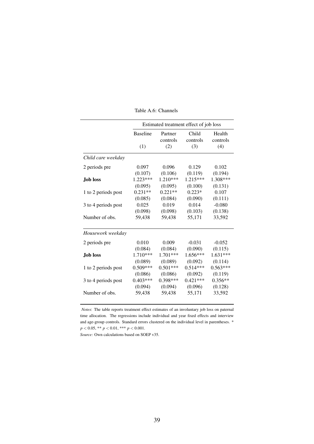<span id="page-41-0"></span>

|                     |                 | Estimated treatment effect of job loss |                   |                    |
|---------------------|-----------------|----------------------------------------|-------------------|--------------------|
|                     | <b>Baseline</b> | Partner<br>controls                    | Child<br>controls | Health<br>controls |
|                     | (1)             | (2)                                    | (3)               | (4)                |
| Child care weekday  |                 |                                        |                   |                    |
| 2 periods pre       | 0.097           | 0.096                                  | 0.129             | 0.102              |
|                     | (0.107)         | (0.106)                                | (0.119)           | (0.194)            |
| <b>Job loss</b>     | 1.223***        | $1.210***$                             | $1.215***$        | 1.308***           |
|                     | (0.095)         | (0.095)                                | (0.100)           | (0.131)            |
| 1 to 2 periods post | $0.231**$       | $0.221**$                              | $0.223*$          | 0.107              |
|                     | (0.085)         | (0.084)                                | (0.090)           | (0.111)            |
| 3 to 4 periods post | 0.025           | 0.019                                  | 0.014             | $-0.080$           |
|                     | (0.098)         | (0.098)                                | (0.103)           | (0.138)            |
| Number of obs.      | 59,438          | 59,438                                 | 55,171            | 33,592             |
| Housework weekday   |                 |                                        |                   |                    |
| 2 periods pre       | 0.010           | 0.009                                  | $-0.031$          | $-0.052$           |
|                     | (0.084)         | (0.084)                                | (0.090)           | (0.115)            |
| <b>Job loss</b>     | $1.710***$      | $1.701***$                             | $1.656***$        | $1.631***$         |
|                     | (0.089)         | (0.089)                                | (0.092)           | (0.114)            |
| 1 to 2 periods post | $0.509***$      | $0.501***$                             | $0.514***$        | $0.563***$         |
|                     | (0.086)         | (0.086)                                | (0.092)           | (0.119)            |
| 3 to 4 periods post | $0.403***$      | $0.398***$                             | $0.421***$        | $0.356**$          |
|                     | (0.094)         | (0.094)                                | (0.096)           | (0.128)            |
| Number of obs.      | 59,438          | 59,438                                 | 55,171            | 33,592             |

Table A.6: Channels

*Notes*: The table reports treatment effect estimates of an involuntary job loss on paternal time allocation. The regressions include individual and year fixed effects and interview and age-group controls. Standard errors clustered on the individual level in parentheses. \* *p* < 0.05, \*\* *p* < 0.01, \*\*\* *p* < 0.001.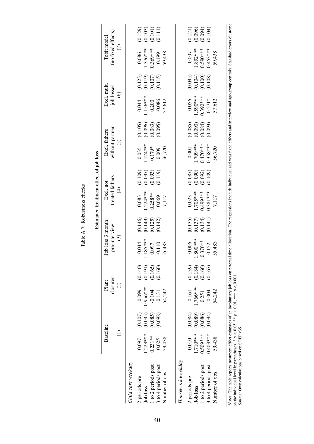|                                                                                                                                                                                                                                                  |            |         |                                                                                                                |                   |                                   |         | Estimated treatment effect of job loss |         |                                  |         |                           |                                     |                                   |                        |
|--------------------------------------------------------------------------------------------------------------------------------------------------------------------------------------------------------------------------------------------------|------------|---------|----------------------------------------------------------------------------------------------------------------|-------------------|-----------------------------------|---------|----------------------------------------|---------|----------------------------------|---------|---------------------------|-------------------------------------|-----------------------------------|------------------------|
|                                                                                                                                                                                                                                                  | Baseline   |         | closures<br>Plant                                                                                              |                   | Job loss 3 month<br>pre-interview |         | treated fathers<br>Excl. not           |         | without partner<br>Excl. fathers |         | Excl. mult.<br>job losses |                                     | (no fixed effects)<br>Tobit model |                        |
|                                                                                                                                                                                                                                                  | $\ominus$  |         | $\odot$                                                                                                        |                   | $\odot$                           |         | $\widehat{\pm}$                        |         | $\tilde{c}$                      |         | $\widehat{\odot}$         |                                     | $\widehat{C}$                     |                        |
| Child care weekday                                                                                                                                                                                                                               |            |         |                                                                                                                |                   |                                   |         |                                        |         |                                  |         |                           |                                     |                                   |                        |
| 2 periods pre                                                                                                                                                                                                                                    | 0.097      | (0.107) | $-0.099$                                                                                                       | (0.140)           | $-0.044$                          | (0.146) | 0.083                                  | (0.109) | 0.035                            | (0.105) | 0.044                     | (0.123)                             | 0.086                             | (0.129)                |
| <b>Job</b> loss                                                                                                                                                                                                                                  | $1.223***$ | (0.095) | $0.956***$                                                                                                     | (0.191)           | $.185***$                         | (0.143) | $.224***$                              | (0.097) | $1.174***$<br>0.179*             | (0.096) | $.156***$                 | $(0.119)$<br>$(0.107)$<br>$(0.115)$ | $.376***$                         | (0.103)                |
| to 2 periods post                                                                                                                                                                                                                                | $0.231***$ | (0.085) | $-0.104$                                                                                                       | (0.165)           | 0.097                             | (0.125) | $0.258**$                              | (0.093) |                                  | (0.083) | 0.200                     |                                     |                                   | $(0.101)$<br>$(0.111)$ |
| to 4 periods post                                                                                                                                                                                                                                | 0.025      | (0.098) | $-0.131$                                                                                                       | (0.160)           | $-0.110$                          | (0.142) | 0.069<br>7,117                         | (0.119) |                                  | (0.095) | $-0.086$                  |                                     | $0.369***$<br>0.199<br>59,438     |                        |
| Number of obs.                                                                                                                                                                                                                                   | 59,438     |         | 54,242                                                                                                         |                   | 55,483                            |         |                                        |         | 56,720                           |         | 57,612                    |                                     |                                   |                        |
|                                                                                                                                                                                                                                                  |            |         |                                                                                                                |                   |                                   |         |                                        |         |                                  |         |                           |                                     |                                   |                        |
| Housework weekday                                                                                                                                                                                                                                |            |         |                                                                                                                |                   |                                   |         |                                        |         |                                  |         |                           |                                     |                                   |                        |
| 2 periods pre                                                                                                                                                                                                                                    | 0.010      | (0.084) | $-0.161$                                                                                                       | (0.139)           | $-0.006$                          | (0.135) | 0.023                                  | (0.087) | $-0.001$                         | (0.085) | $-0.056$                  | (0.095)                             | $-0.007$                          | (0.121)                |
| <b>Job</b> loss                                                                                                                                                                                                                                  | 1.710 ***  | (0.089) | $.766***$                                                                                                      | (0.184)           | $.800***$                         | (0.137) | $.705***$                              | (0.090) | $.709***$                        | (0.090) | $590***$                  | $(0.104)$<br>$(0.100)$              | $.892***$                         | (0.096)                |
| to 2 periods post                                                                                                                                                                                                                                | $0.509***$ | (0.086) | 0.251                                                                                                          | (0.166)           | $0.370**$                         | (0.134) | $0.499***$                             | (0.092) | $0.470***$<br>0.358***           | (0.084) | $0.392***$                |                                     | $0.590***$<br>$0.453***$          | (0.094)                |
| 3 to 4 periods post                                                                                                                                                                                                                              | $0.403***$ | (0.094) | $-0.004$                                                                                                       | (0.167)           | 0.152                             | (0.141) | $0.381***$<br>7,117                    | (0.109) |                                  | (0.093) |                           | (0.108)                             |                                   | (0.104)                |
| Number of obs.                                                                                                                                                                                                                                   | 59,438     |         | 54,242                                                                                                         |                   | 55,483                            |         |                                        |         | 56,720                           |         | 57,612                    |                                     | 59,438                            |                        |
|                                                                                                                                                                                                                                                  |            |         |                                                                                                                |                   |                                   |         |                                        |         |                                  |         |                           |                                     |                                   |                        |
| Notes: The table reports treatment effect estimates of an involuntary job loss on paternal time allocation. The regressions include individual and year fixed effects and interview and age-group controls. Standard errors cl<br>$\ddot{\cdot}$ |            | きき しくく  | e de la de la constitución de la constitución de la constitución de la constitución de la constitución de la c | $\sim$ 0.0 $\sim$ |                                   |         |                                        |         |                                  |         |                           |                                     |                                   |                        |

<span id="page-42-0"></span>40

Table A.7: Robustness checks Table A.7: Robustness checks *Notes*: The table reports treatment effect estimates of an involuntary job loss on<br>on the individual level in parentheses.  $* p < 0.05, ** p < 0.01, **p < 0.001$ .<br>Source: Own calculations based on SOEP v35. on the individual level in parentheses. \*  $p < 0.05$ , \*\*  $p < 0.01$ , \*\*\*  $p < 0.001$ .